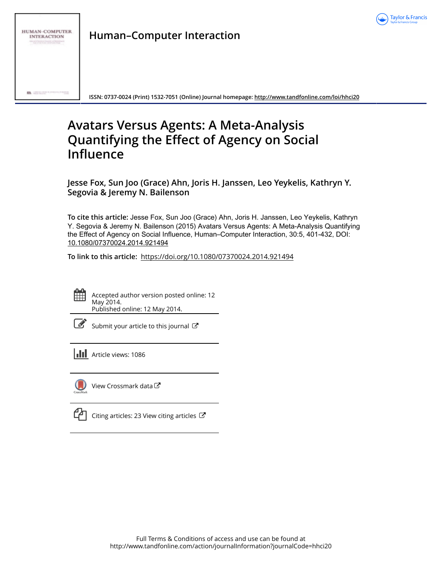

| HUMAN-COMPUTER     |
|--------------------|
| <b>INTERACTION</b> |

**Human–Computer Interaction**

**ISSN: 0737-0024 (Print) 1532-7051 (Online) Journal homepage:<http://www.tandfonline.com/loi/hhci20>**

# **Avatars Versus Agents: A Meta-Analysis Quantifying the Effect of Agency on Social Influence**

**Jesse Fox, Sun Joo (Grace) Ahn, Joris H. Janssen, Leo Yeykelis, Kathryn Y. Segovia & Jeremy N. Bailenson**

**To cite this article:** Jesse Fox, Sun Joo (Grace) Ahn, Joris H. Janssen, Leo Yeykelis, Kathryn Y. Segovia & Jeremy N. Bailenson (2015) Avatars Versus Agents: A Meta-Analysis Quantifying the Effect of Agency on Social Influence, Human–Computer Interaction, 30:5, 401-432, DOI: [10.1080/07370024.2014.921494](http://www.tandfonline.com/action/showCitFormats?doi=10.1080/07370024.2014.921494)

**To link to this article:** <https://doi.org/10.1080/07370024.2014.921494>



Accepted author version posted online: 12 May 2014. Published online: 12 May 2014.

[Submit your article to this journal](http://www.tandfonline.com/action/authorSubmission?journalCode=hhci20&show=instructions)  $\mathbb{Z}$ 

**Article views: 1086** 



[View Crossmark data](http://crossmark.crossref.org/dialog/?doi=10.1080/07370024.2014.921494&domain=pdf&date_stamp=2014-05-12)  $G$ 

 $\Box$  [Citing articles: 23 View citing articles](http://www.tandfonline.com/doi/citedby/10.1080/07370024.2014.921494#tabModule)  $\Box$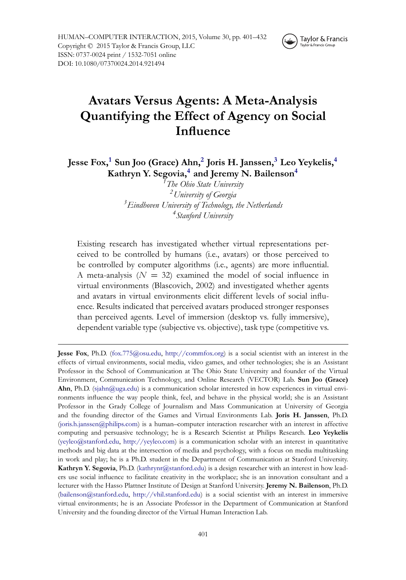

## **Avatars Versus Agents: A Meta-Analysis Quantifying the Effect of Agency on Social Influence**

**Jesse Fox[,1](#page-1-0) Sun Joo (Grace) Ahn[,2](#page-1-0) Joris H. Janssen[,3](#page-1-0) Leo Yeykelis[,4](#page-1-0) Kathryn Y. Segovia[,4](#page-1-0) and Jeremy N. Bailenson[4](#page-1-0)**

<span id="page-1-0"></span>*1The Ohio State University 2University of Georgia 3Eindhoven University of Technology, the Netherlands 4Stanford University*

Existing research has investigated whether virtual representations perceived to be controlled by humans (i.e., avatars) or those perceived to be controlled by computer algorithms (i.e., agents) are more influential. A meta-analysis  $(N = 32)$  examined the model of social influence in virtual environments (Blascovich, 2002) and investigated whether agents and avatars in virtual environments elicit different levels of social influence. Results indicated that perceived avatars produced stronger responses than perceived agents. Level of immersion (desktop vs. fully immersive), dependent variable type (subjective vs. objective), task type (competitive vs.

**Jesse Fox**, Ph.D. (fox.775@osu.edu, [http://commfox.org\)](http://commfox.org) is a social scientist with an interest in the effects of virtual environments, social media, video games, and other technologies; she is an Assistant Professor in the School of Communication at The Ohio State University and founder of the Virtual Environment, Communication Technology, and Online Research (VECTOR) Lab. **Sun Joo (Grace) Ahn**, Ph.D. (sjahn@uga.edu) is a communication scholar interested in how experiences in virtual environments influence the way people think, feel, and behave in the physical world; she is an Assistant Professor in the Grady College of Journalism and Mass Communication at University of Georgia and the founding director of the Games and Virtual Environments Lab. **Joris H. Janssen**, Ph.D. (joris.h.janssen@philips.com) is a human–computer interaction researcher with an interest in affective computing and persuasive technology; he is [a](mailto:yeyleo@stanford.edu) Research Scientist at Philips Research. **Leo Yeykelis** [\(yeyleo@stanford.edu,](mailto:yeyleo@stanford.edu) [http://yeyleo.com\)](http://yeyleo.com) is a communication scholar with an interest in quantitative methods and big data at the intersection of media and psychology, with a focus on media multitasking in work and play; he is a Ph.D. student in the Department of Communication at Stanford University. **Kathryn Y. Segovia**, Ph.D. (kathrynr@stanford.edu) is a design researcher with an interest in how leaders use social influence to facilitate creativity in the workplace; she is an innovation consultant and a lecturer with the Hasso Plattner Institute of Design at Stanford University. **Jeremy N. Bailenson**, Ph.D. (bailenson@stanford.edu, [http://vhil.stanford.edu\)](http://vhil.stanford.edu) is a social scientist with an interest in immersive virtual environments; he is an Associate Professor in the Department of Communication at Stanford University and the founding director of the Virtual Human Interaction Lab.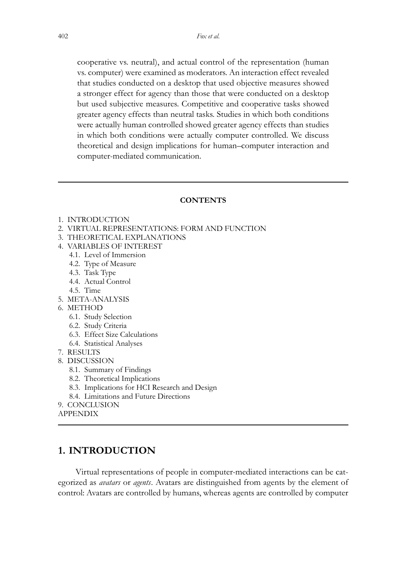cooperative vs. neutral), and actual control of the representation (human vs. computer) were examined as moderators. An interaction effect revealed that studies conducted on a desktop that used objective measures showed a stronger effect for agency than those that were conducted on a desktop but used subjective measures. Competitive and cooperative tasks showed greater agency effects than neutral tasks. Studies in which both conditions were actually human controlled showed greater agency effects than studies in which both conditions were actually computer controlled. We discuss theoretical and design implications for human–computer interaction and computer-mediated communication.

#### **CONTENTS**

- 1. INTRODUCTION
- 2. VIRTUAL REPRESENTATIONS: FORM AND FUNCTION
- 3. THEORETICAL EXPLANATIONS
- 4. VARIABLES OF INTEREST
	- 4.1. Level of Immersion
	- 4.2. Type of Measure
	- 4.3. Task Type
	- 4.4. Actual Control
	- 4.5. Time
- 5. META-ANALYSIS
- 6. METHOD
	- 6.1. Study Selection
	- 6.2. Study Criteria
	- 6.3. Effect Size Calculations
	- 6.4. Statistical Analyses
- 7. RESULTS
- 8. DISCUSSION
	- 8.1. Summary of Findings
	- 8.2. Theoretical Implications
	- 8.3. Implications for HCI Research and Design
	- 8.4. Limitations and Future Directions
- 9. CONCLUSION

APPENDIX

## **1. INTRODUCTION**

Virtual representations of people in computer-mediated interactions can be categorized as *avatars* or *agents*. Avatars are distinguished from agents by the element of control: Avatars are controlled by humans, whereas agents are controlled by computer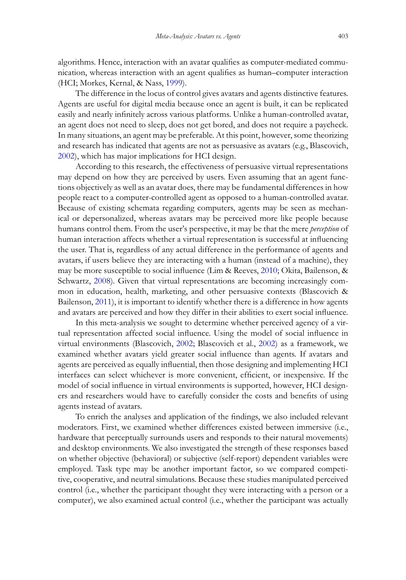algorithms. Hence, interaction with an avatar qualifies as computer-mediated communication, whereas interaction with an agent qualifies as human–computer interaction (HCI; Morkes, Kernal, & Nass, [1999\)](#page-25-0).

The difference in the locus of control gives avatars and agents distinctive features. Agents are useful for digital media because once an agent is built, it can be replicated easily and nearly infinitely across various platforms. Unlike a human-controlled avatar, an agent does not need to sleep, does not get bored, and does not require a paycheck. In many situations, an agent may be preferable. At this point, however, some theorizing and research has indicated that agents are not as persuasive as avatars (e.g., Blascovich, [2002\)](#page-22-0), which has major implications for HCI design.

According to this research, the effectiveness of persuasive virtual representations may depend on how they are perceived by users. Even assuming that an agent functions objectively as well as an avatar does, there may be fundamental differences in how people react to a computer-controlled agent as opposed to a human-controlled avatar. Because of existing schemata regarding computers, agents may be seen as mechanical or depersonalized, whereas avatars may be perceived more like people because humans control them. From the user's perspective, it may be that the mere *perception* of human interaction affects whether a virtual representation is successful at influencing the user. That is, regardless of any actual difference in the performance of agents and avatars, if users believe they are interacting with a human (instead of a machine), they may be more susceptible to social influence (Lim & Reeves, [2010;](#page-24-0) Okita, Bailenson, & Schwartz, [2008\)](#page-25-1). Given that virtual representations are becoming increasingly common in education, health, marketing, and other persuasive contexts (Blascovich & Bailenson, [2011\)](#page-22-1), it is important to identify whether there is a difference in how agents and avatars are perceived and how they differ in their abilities to exert social influence.

In this meta-analysis we sought to determine whether perceived agency of a virtual representation affected social influence. Using the model of social influence in virtual environments (Blascovich, [2002;](#page-22-0) Blascovich et al., [2002\)](#page-23-0) as a framework, we examined whether avatars yield greater social influence than agents. If avatars and agents are perceived as equally influential, then those designing and implementing HCI interfaces can select whichever is more convenient, efficient, or inexpensive. If the model of social influence in virtual environments is supported, however, HCI designers and researchers would have to carefully consider the costs and benefits of using agents instead of avatars.

To enrich the analyses and application of the findings, we also included relevant moderators. First, we examined whether differences existed between immersive (i.e., hardware that perceptually surrounds users and responds to their natural movements) and desktop environments. We also investigated the strength of these responses based on whether objective (behavioral) or subjective (self-report) dependent variables were employed. Task type may be another important factor, so we compared competitive, cooperative, and neutral simulations. Because these studies manipulated perceived control (i.e., whether the participant thought they were interacting with a person or a computer), we also examined actual control (i.e., whether the participant was actually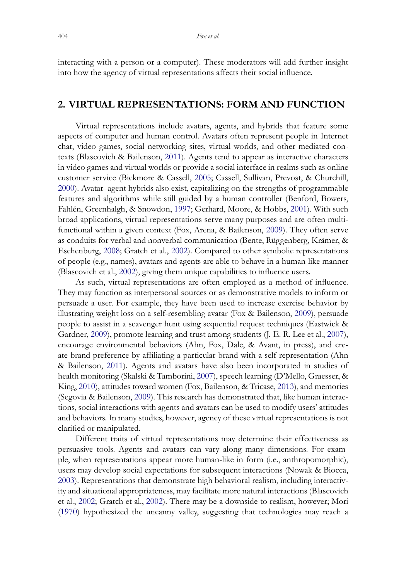interacting with a person or a computer). These moderators will add further insight into how the agency of virtual representations affects their social influence.

#### **2. VIRTUAL REPRESENTATIONS: FORM AND FUNCTION**

Virtual representations include avatars, agents, and hybrids that feature some aspects of computer and human control. Avatars often represent people in Internet chat, video games, social networking sites, virtual worlds, and other mediated contexts (Blascovich & Bailenson, [2011\)](#page-22-1). Agents tend to appear as interactive characters in video games and virtual worlds or provide a social interface in realms such as online customer service (Bickmore & Cassell, [2005;](#page-22-2) Cassell, Sullivan, Prevost, & Churchill, [2000\)](#page-23-1). Avatar–agent hybrids also exist, capitalizing on the strengths of programmable features and algorithms while still guided by a human controller (Benford, Bowers, Fahlén, Greenhalgh, & Snowdon, [1997;](#page-22-3) Gerhard, Moore, & Hobbs, [2001\)](#page-22-4). With such broad applications, virtual representations serve many purposes and are often multifunctional within a given context (Fox, Arena, & Bailenson, [2009\)](#page-23-2). They often serve as conduits for verbal and nonverbal communication (Bente, Rüggenberg, Krämer, & Eschenburg, [2008;](#page-22-5) Gratch et al., [2002\)](#page-24-1). Compared to other symbolic representations of people (e.g., names), avatars and agents are able to behave in a human-like manner (Blascovich et al., [2002\)](#page-23-0), giving them unique capabilities to influence users.

As such, virtual representations are often employed as a method of influence. They may function as interpersonal sources or as demonstrative models to inform or persuade a user. For example, they have been used to increase exercise behavior by illustrating weight loss on a self-resembling avatar (Fox & Bailenson, [2009\)](#page-23-3), persuade people to assist in a scavenger hunt using sequential request techniques (Eastwick & Gardner, [2009\)](#page-23-4), promote learning and trust among students (J.-E. R. Lee et al., [2007\)](#page-24-2), encourage environmental behaviors (Ahn, Fox, Dale, & Avant, in press), and create brand preference by affiliating a particular brand with a self-representation (Ahn & Bailenson, [2011\)](#page-22-6). Agents and avatars have also been incorporated in studies of health monitoring (Skalski & Tamborini, [2007\)](#page-26-0), speech learning (D'Mello, Graesser, & King, [2010\)](#page-23-5), attitudes toward women (Fox, Bailenson, & Tricase, [2013\)](#page-23-6), and memories (Segovia & Bailenson, [2009\)](#page-26-1). This research has demonstrated that, like human interactions, social interactions with agents and avatars can be used to modify users' attitudes and behaviors. In many studies, however, agency of these virtual representations is not clarified or manipulated.

Different traits of virtual representations may determine their effectiveness as persuasive tools. Agents and avatars can vary along many dimensions. For example, when representations appear more human-like in form (i.e., anthropomorphic), users may develop social expectations for subsequent interactions (Nowak & Biocca, [2003\)](#page-25-2). Representations that demonstrate high behavioral realism, including interactivity and situational appropriateness, may facilitate more natural interactions (Blascovich et al., [2002;](#page-23-0) Gratch et al., [2002\)](#page-24-1). There may be a downside to realism, however; Mori [\(1970\)](#page-25-3) hypothesized the uncanny valley, suggesting that technologies may reach a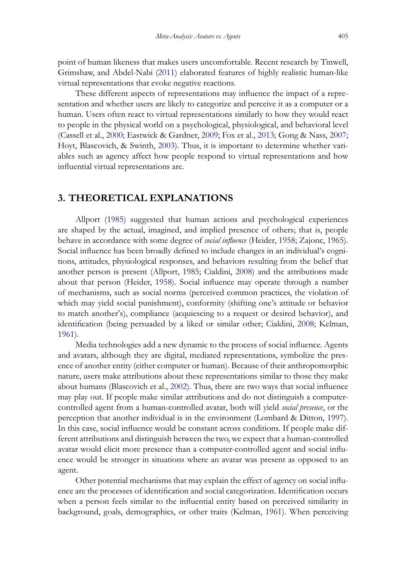point of human likeness that makes users uncomfortable. Recent research by Tinwell, Grimshaw, and Abdel-Nabi [\(2011\)](#page-26-2) elaborated features of highly realistic human-like virtual representations that evoke negative reactions.

These different aspects of representations may influence the impact of a representation and whether users are likely to categorize and perceive it as a computer or a human. Users often react to virtual representations similarly to how they would react to people in the physical world on a psychological, physiological, and behavioral level (Cassell et al., [2000;](#page-23-1) Eastwick & Gardner, [2009;](#page-23-4) Fox et al., [2013;](#page-23-6) Gong & Nass, [2007;](#page-23-7) Hoyt, Blascovich, & Swinth, [2003\)](#page-24-3). Thus, it is important to determine whether variables such as agency affect how people respond to virtual representations and how influential virtual representations are.

## **3. THEORETICAL EXPLANATIONS**

Allport [\(1985\)](#page-22-7) suggested that human actions and psychological experiences are shaped by the actual, imagined, and implied presence of others; that is, people behave in accordance with some degree of *social influence* (Heider, [1958;](#page-24-4) Zajonc, [1965\)](#page-26-3). Social influence has been broadly defined to include changes in an individual's cognitions, attitudes, physiological responses, and behaviors resulting from the belief that another person is present (Allport, [1985;](#page-22-7) Cialdini, [2008\)](#page-23-8) and the attributions made about that person (Heider, [1958\)](#page-24-4). Social influence may operate through a number of mechanisms, such as social norms (perceived common practices, the violation of which may yield social punishment), conformity (shifting one's attitude or behavior to match another's), compliance (acquiescing to a request or desired behavior), and identification (being persuaded by a liked or similar other; Cialdini, [2008;](#page-23-8) Kelman, [1961\)](#page-24-5).

Media technologies add a new dynamic to the process of social influence. Agents and avatars, although they are digital, mediated representations, symbolize the presence of another entity (either computer or human). Because of their anthropomorphic nature, users make attributions about these representations similar to those they make about humans (Blascovich et al., [2002\)](#page-23-0). Thus, there are two ways that social influence may play out. If people make similar attributions and do not distinguish a computercontrolled agent from a human-controlled avatar, both will yield *social presence*, or the perception that another individual is in the environment (Lombard & Ditton, [1997\)](#page-24-6). In this case, social influence would be constant across conditions. If people make different attributions and distinguish between the two, we expect that a human-controlled avatar would elicit more presence than a computer-controlled agent and social influence would be stronger in situations where an avatar was present as opposed to an agent.

Other potential mechanisms that may explain the effect of agency on social influence are the processes of identification and social categorization. Identification occurs when a person feels similar to the influential entity based on perceived similarity in background, goals, demographics, or other traits (Kelman, [1961\)](#page-24-5). When perceiving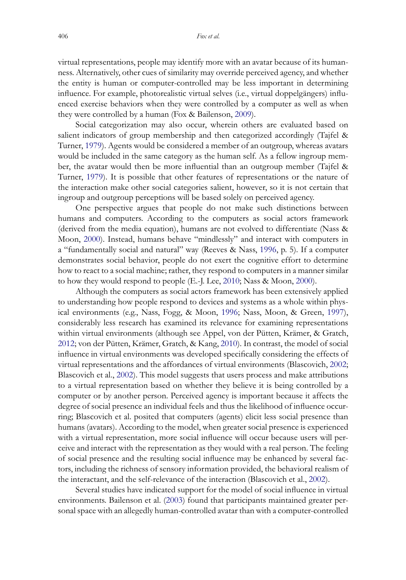virtual representations, people may identify more with an avatar because of its humanness. Alternatively, other cues of similarity may override perceived agency, and whether the entity is human or computer-controlled may be less important in determining influence. For example, photorealistic virtual selves (i.e., virtual doppelgängers) influenced exercise behaviors when they were controlled by a computer as well as when they were controlled by a human (Fox & Bailenson, [2009\)](#page-23-3).

Social categorization may also occur, wherein others are evaluated based on salient indicators of group membership and then categorized accordingly (Tajfel & Turner, [1979\)](#page-26-4). Agents would be considered a member of an outgroup, whereas avatars would be included in the same category as the human self. As a fellow ingroup member, the avatar would then be more influential than an outgroup member (Tajfel & Turner, [1979\)](#page-26-4). It is possible that other features of representations or the nature of the interaction make other social categories salient, however, so it is not certain that ingroup and outgroup perceptions will be based solely on perceived agency.

One perspective argues that people do not make such distinctions between humans and computers. According to the computers as social actors framework (derived from the media equation), humans are not evolved to differentiate (Nass & Moon, [2000\)](#page-25-4). Instead, humans behave "mindlessly" and interact with computers in a "fundamentally social and natural" way (Reeves & Nass, [1996,](#page-25-5) p. 5). If a computer demonstrates social behavior, people do not exert the cognitive effort to determine how to react to a social machine; rather, they respond to computers in a manner similar to how they would respond to people (E.-J. Lee, [2010;](#page-24-7) Nass & Moon, [2000\)](#page-25-4).

Although the computers as social actors framework has been extensively applied to understanding how people respond to devices and systems as a whole within physical environments (e.g., Nass, Fogg, & Moon, [1996;](#page-25-6) Nass, Moon, & Green, [1997\)](#page-25-7), considerably less research has examined its relevance for examining representations within virtual environments (although see Appel, von der Pütten, Krämer, & Gratch, [2012;](#page-22-8) von der Pütten, Krämer, Gratch, & Kang, [2010\)](#page-26-5). In contrast, the model of social influence in virtual environments was developed specifically considering the effects of virtual representations and the affordances of virtual environments (Blascovich, [2002;](#page-22-0) Blascovich et al., [2002\)](#page-23-0). This model suggests that users process and make attributions to a virtual representation based on whether they believe it is being controlled by a computer or by another person. Perceived agency is important because it affects the degree of social presence an individual feels and thus the likelihood of influence occurring; Blascovich et al. posited that computers (agents) elicit less social presence than humans (avatars). According to the model, when greater social presence is experienced with a virtual representation, more social influence will occur because users will perceive and interact with the representation as they would with a real person. The feeling of social presence and the resulting social influence may be enhanced by several factors, including the richness of sensory information provided, the behavioral realism of the interactant, and the self-relevance of the interaction (Blascovich et al., [2002\)](#page-23-0).

Several studies have indicated support for the model of social influence in virtual environments. Bailenson et al. [\(2003\)](#page-22-9) found that participants maintained greater personal space with an allegedly human-controlled avatar than with a computer-controlled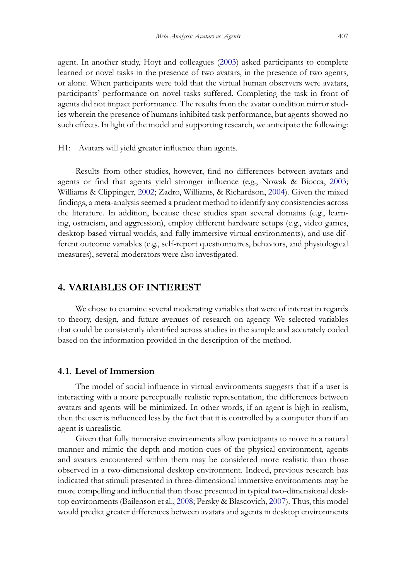agent. In another study, Hoyt and colleagues [\(2003\)](#page-24-3) asked participants to complete learned or novel tasks in the presence of two avatars, in the presence of two agents, or alone. When participants were told that the virtual human observers were avatars, participants' performance on novel tasks suffered. Completing the task in front of agents did not impact performance. The results from the avatar condition mirror studies wherein the presence of humans inhibited task performance, but agents showed no such effects. In light of the model and supporting research, we anticipate the following:

H1: Avatars will yield greater influence than agents.

Results from other studies, however, find no differences between avatars and agents or find that agents yield stronger influence (e.g., Nowak & Biocca, [2003;](#page-25-2) Williams & Clippinger, [2002;](#page-26-6) Zadro, Williams, & Richardson, [2004\)](#page-26-7). Given the mixed findings, a meta-analysis seemed a prudent method to identify any consistencies across the literature. In addition, because these studies span several domains (e.g., learning, ostracism, and aggression), employ different hardware setups (e.g., video games, desktop-based virtual worlds, and fully immersive virtual environments), and use different outcome variables (e.g., self-report questionnaires, behaviors, and physiological measures), several moderators were also investigated.

## **4. VARIABLES OF INTEREST**

We chose to examine several moderating variables that were of interest in regards to theory, design, and future avenues of research on agency. We selected variables that could be consistently identified across studies in the sample and accurately coded based on the information provided in the description of the method.

#### **4.1. Level of Immersion**

The model of social influence in virtual environments suggests that if a user is interacting with a more perceptually realistic representation, the differences between avatars and agents will be minimized. In other words, if an agent is high in realism, then the user is influenced less by the fact that it is controlled by a computer than if an agent is unrealistic.

Given that fully immersive environments allow participants to move in a natural manner and mimic the depth and motion cues of the physical environment, agents and avatars encountered within them may be considered more realistic than those observed in a two-dimensional desktop environment. Indeed, previous research has indicated that stimuli presented in three-dimensional immersive environments may be more compelling and influential than those presented in typical two-dimensional desktop environments (Bailenson et al., [2008;](#page-22-10) Persky & Blascovich, [2007\)](#page-25-8). Thus, this model would predict greater differences between avatars and agents in desktop environments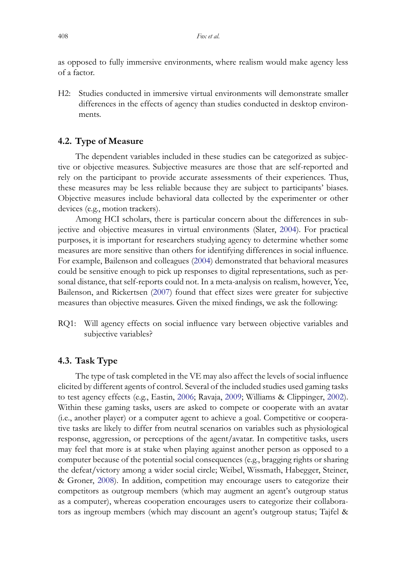as opposed to fully immersive environments, where realism would make agency less of a factor.

H2: Studies conducted in immersive virtual environments will demonstrate smaller differences in the effects of agency than studies conducted in desktop environments.

#### **4.2. Type of Measure**

The dependent variables included in these studies can be categorized as subjective or objective measures. Subjective measures are those that are self-reported and rely on the participant to provide accurate assessments of their experiences. Thus, these measures may be less reliable because they are subject to participants' biases. Objective measures include behavioral data collected by the experimenter or other devices (e.g., motion trackers).

Among HCI scholars, there is particular concern about the differences in subjective and objective measures in virtual environments (Slater, [2004\)](#page-26-8). For practical purposes, it is important for researchers studying agency to determine whether some measures are more sensitive than others for identifying differences in social influence. For example, Bailenson and colleagues [\(2004\)](#page-24-8) demonstrated that behavioral measures could be sensitive enough to pick up responses to digital representations, such as personal distance, that self-reports could not. In a meta-analysis on realism, however, Yee, Bailenson, and Rickertsen [\(2007\)](#page-26-9) found that effect sizes were greater for subjective measures than objective measures. Given the mixed findings, we ask the following:

RQ1: Will agency effects on social influence vary between objective variables and subjective variables?

#### **4.3. Task Type**

The type of task completed in the VE may also affect the levels of social influence elicited by different agents of control. Several of the included studies used gaming tasks to test agency effects (e.g., Eastin, [2006;](#page-23-9) Ravaja, [2009;](#page-25-9) Williams & Clippinger, [2002\)](#page-26-6). Within these gaming tasks, users are asked to compete or cooperate with an avatar (i.e., another player) or a computer agent to achieve a goal. Competitive or cooperative tasks are likely to differ from neutral scenarios on variables such as physiological response, aggression, or perceptions of the agent/avatar. In competitive tasks, users may feel that more is at stake when playing against another person as opposed to a computer because of the potential social consequences (e.g., bragging rights or sharing the defeat/victory among a wider social circle; Weibel, Wissmath, Habegger, Steiner, & Groner, [2008\)](#page-26-10). In addition, competition may encourage users to categorize their competitors as outgroup members (which may augment an agent's outgroup status as a computer), whereas cooperation encourages users to categorize their collaborators as ingroup members (which may discount an agent's outgroup status; Tajfel &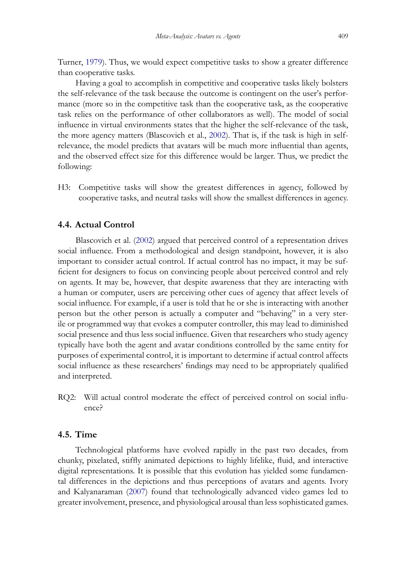Turner, [1979\)](#page-26-4). Thus, we would expect competitive tasks to show a greater difference than cooperative tasks.

Having a goal to accomplish in competitive and cooperative tasks likely bolsters the self-relevance of the task because the outcome is contingent on the user's performance (more so in the competitive task than the cooperative task, as the cooperative task relies on the performance of other collaborators as well). The model of social influence in virtual environments states that the higher the self-relevance of the task, the more agency matters (Blascovich et al., [2002\)](#page-23-0). That is, if the task is high in selfrelevance, the model predicts that avatars will be much more influential than agents, and the observed effect size for this difference would be larger. Thus, we predict the following:

H3: Competitive tasks will show the greatest differences in agency, followed by cooperative tasks, and neutral tasks will show the smallest differences in agency.

#### **4.4. Actual Control**

Blascovich et al. [\(2002\)](#page-23-0) argued that perceived control of a representation drives social influence. From a methodological and design standpoint, however, it is also important to consider actual control. If actual control has no impact, it may be sufficient for designers to focus on convincing people about perceived control and rely on agents. It may be, however, that despite awareness that they are interacting with a human or computer, users are perceiving other cues of agency that affect levels of social influence. For example, if a user is told that he or she is interacting with another person but the other person is actually a computer and "behaving" in a very sterile or programmed way that evokes a computer controller, this may lead to diminished social presence and thus less social influence. Given that researchers who study agency typically have both the agent and avatar conditions controlled by the same entity for purposes of experimental control, it is important to determine if actual control affects social influence as these researchers' findings may need to be appropriately qualified and interpreted.

RQ2: Will actual control moderate the effect of perceived control on social influence?

#### **4.5. Time**

Technological platforms have evolved rapidly in the past two decades, from chunky, pixelated, stiffly animated depictions to highly lifelike, fluid, and interactive digital representations. It is possible that this evolution has yielded some fundamental differences in the depictions and thus perceptions of avatars and agents. Ivory and Kalyanaraman [\(2007\)](#page-24-9) found that technologically advanced video games led to greater involvement, presence, and physiological arousal than less sophisticated games.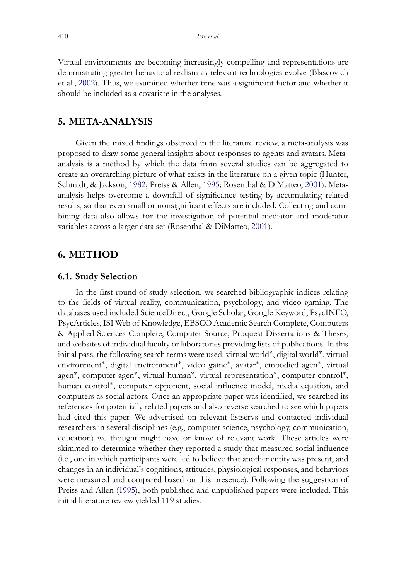Virtual environments are becoming increasingly compelling and representations are demonstrating greater behavioral realism as relevant technologies evolve (Blascovich et al., [2002\)](#page-23-0). Thus, we examined whether time was a significant factor and whether it should be included as a covariate in the analyses.

## **5. META-ANALYSIS**

Given the mixed findings observed in the literature review, a meta-analysis was proposed to draw some general insights about responses to agents and avatars. Metaanalysis is a method by which the data from several studies can be aggregated to create an overarching picture of what exists in the literature on a given topic (Hunter, Schmidt, & Jackson, [1982;](#page-24-10) Preiss & Allen, [1995;](#page-25-10) Rosenthal & DiMatteo, [2001\)](#page-25-11). Metaanalysis helps overcome a downfall of significance testing by accumulating related results, so that even small or nonsignificant effects are included. Collecting and combining data also allows for the investigation of potential mediator and moderator variables across a larger data set (Rosenthal & DiMatteo, [2001\)](#page-25-11).

#### **6. METHOD**

#### **6.1. Study Selection**

In the first round of study selection, we searched bibliographic indices relating to the fields of virtual reality, communication, psychology, and video gaming. The databases used included ScienceDirect, Google Scholar, Google Keyword, PsycINFO, PsycArticles, ISI Web of Knowledge, EBSCO Academic Search Complete, Computers & Applied Sciences Complete, Computer Source, Proquest Dissertations & Theses, and websites of individual faculty or laboratories providing lists of publications. In this initial pass, the following search terms were used: virtual world∗, digital world∗, virtual environment∗, digital environment∗, video game∗, avatar∗, embodied agen∗, virtual agen∗, computer agen∗, virtual human∗, virtual representation∗, computer control∗, human control∗, computer opponent, social influence model, media equation, and computers as social actors. Once an appropriate paper was identified, we searched its references for potentially related papers and also reverse searched to see which papers had cited this paper. We advertised on relevant listservs and contacted individual researchers in several disciplines (e.g., computer science, psychology, communication, education) we thought might have or know of relevant work. These articles were skimmed to determine whether they reported a study that measured social influence (i.e., one in which participants were led to believe that another entity was present, and changes in an individual's cognitions, attitudes, physiological responses, and behaviors were measured and compared based on this presence). Following the suggestion of Preiss and Allen [\(1995\)](#page-25-10), both published and unpublished papers were included. This initial literature review yielded 119 studies.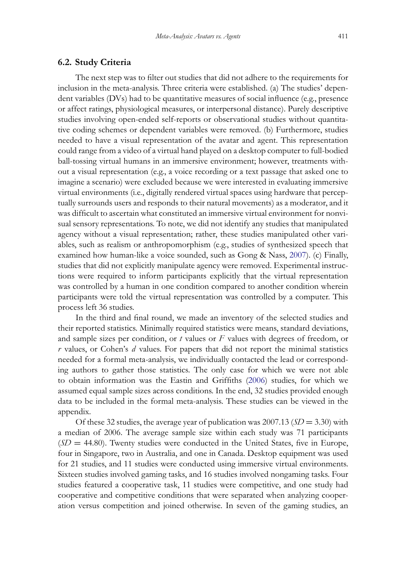#### **6.2. Study Criteria**

The next step was to filter out studies that did not adhere to the requirements for inclusion in the meta-analysis. Three criteria were established. (a) The studies' dependent variables (DVs) had to be quantitative measures of social influence (e.g., presence or affect ratings, physiological measures, or interpersonal distance). Purely descriptive studies involving open-ended self-reports or observational studies without quantitative coding schemes or dependent variables were removed. (b) Furthermore, studies needed to have a visual representation of the avatar and agent. This representation could range from a video of a virtual hand played on a desktop computer to full-bodied ball-tossing virtual humans in an immersive environment; however, treatments without a visual representation (e.g., a voice recording or a text passage that asked one to imagine a scenario) were excluded because we were interested in evaluating immersive virtual environments (i.e., digitally rendered virtual spaces using hardware that perceptually surrounds users and responds to their natural movements) as a moderator, and it was difficult to ascertain what constituted an immersive virtual environment for nonvisual sensory representations. To note, we did not identify any studies that manipulated agency without a visual representation; rather, these studies manipulated other variables, such as realism or anthropomorphism (e.g., studies of synthesized speech that examined how human-like a voice sounded, such as Gong & Nass, [2007\)](#page-23-7). (c) Finally, studies that did not explicitly manipulate agency were removed. Experimental instructions were required to inform participants explicitly that the virtual representation was controlled by a human in one condition compared to another condition wherein participants were told the virtual representation was controlled by a computer. This process left 36 studies.

In the third and final round, we made an inventory of the selected studies and their reported statistics. Minimally required statistics were means, standard deviations, and sample sizes per condition, or *t* values or *F* values with degrees of freedom, or *r* values, or Cohen's *d* values. For papers that did not report the minimal statistics needed for a formal meta-analysis, we individually contacted the lead or corresponding authors to gather those statistics. The only case for which we were not able to obtain information was the Eastin and Griffiths [\(2006\)](#page-23-10) studies, for which we assumed equal sample sizes across conditions. In the end, 32 studies provided enough data to be included in the formal meta-analysis. These studies can be viewed in the appendix.

Of these 32 studies, the average year of publication was 2007.13 (*SD* = 3.30) with a median of 2006. The average sample size within each study was 71 participants  $(SD = 44.80)$ . Twenty studies were conducted in the United States, five in Europe, four in Singapore, two in Australia, and one in Canada. Desktop equipment was used for 21 studies, and 11 studies were conducted using immersive virtual environments. Sixteen studies involved gaming tasks, and 16 studies involved nongaming tasks. Four studies featured a cooperative task, 11 studies were competitive, and one study had cooperative and competitive conditions that were separated when analyzing cooperation versus competition and joined otherwise. In seven of the gaming studies, an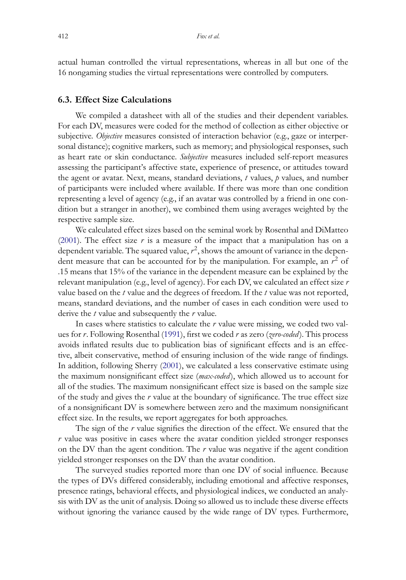actual human controlled the virtual representations, whereas in all but one of the 16 nongaming studies the virtual representations were controlled by computers.

#### **6.3. Effect Size Calculations**

We compiled a datasheet with all of the studies and their dependent variables. For each DV, measures were coded for the method of collection as either objective or subjective. *Objective* measures consisted of interaction behavior (e.g., gaze or interpersonal distance); cognitive markers, such as memory; and physiological responses, such as heart rate or skin conductance. *Subjective* measures included self-report measures assessing the participant's affective state, experience of presence, or attitudes toward the agent or avatar. Next, means, standard deviations, *t* values, *p* values, and number of participants were included where available. If there was more than one condition representing a level of agency (e.g., if an avatar was controlled by a friend in one condition but a stranger in another), we combined them using averages weighted by the respective sample size.

We calculated effect sizes based on the seminal work by Rosenthal and DiMatteo [\(2001\)](#page-25-11). The effect size  $r$  is a measure of the impact that a manipulation has on a dependent variable. The squared value,  $r^2$ , shows the amount of variance in the dependent measure that can be accounted for by the manipulation. For example, an  $r^2$  of .15 means that 15% of the variance in the dependent measure can be explained by the relevant manipulation (e.g., level of agency). For each DV, we calculated an effect size *r* value based on the *t* value and the degrees of freedom. If the *t* value was not reported, means, standard deviations, and the number of cases in each condition were used to derive the *t* value and subsequently the *r* value.

In cases where statistics to calculate the *r* value were missing, we coded two values for *r*. Following Rosenthal [\(1991\)](#page-25-12), first we coded *r* as zero (*zero-coded* ). This process avoids inflated results due to publication bias of significant effects and is an effective, albeit conservative, method of ensuring inclusion of the wide range of findings. In addition, following Sherry [\(2001\)](#page-26-11), we calculated a less conservative estimate using the maximum nonsignificant effect size (*max-coded* ), which allowed us to account for all of the studies. The maximum nonsignificant effect size is based on the sample size of the study and gives the *r* value at the boundary of significance. The true effect size of a nonsignificant DV is somewhere between zero and the maximum nonsignificant effect size. In the results, we report aggregates for both approaches.

The sign of the *r* value signifies the direction of the effect. We ensured that the *r* value was positive in cases where the avatar condition yielded stronger responses on the DV than the agent condition. The *r* value was negative if the agent condition yielded stronger responses on the DV than the avatar condition.

The surveyed studies reported more than one DV of social influence. Because the types of DVs differed considerably, including emotional and affective responses, presence ratings, behavioral effects, and physiological indices, we conducted an analysis with DV as the unit of analysis. Doing so allowed us to include these diverse effects without ignoring the variance caused by the wide range of DV types. Furthermore,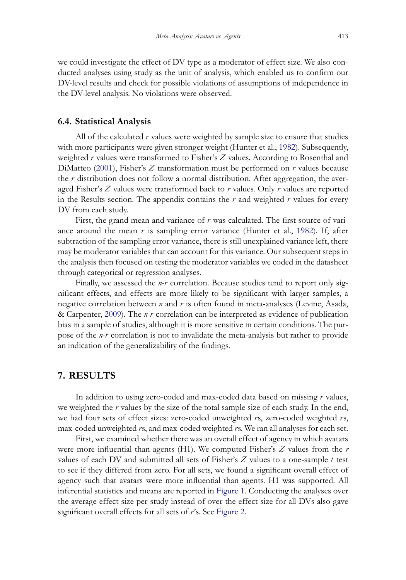we could investigate the effect of DV type as a moderator of effect size. We also conducted analyses using study as the unit of analysis, which enabled us to confirm our DV-level results and check for possible violations of assumptions of independence in the DV-level analysis. No violations were observed.

#### **6.4. Statistical Analysis**

All of the calculated *r* values were weighted by sample size to ensure that studies with more participants were given stronger weight (Hunter et al., [1982\)](#page-24-10). Subsequently, weighted *r* values were transformed to Fisher's *Z* values. According to Rosenthal and DiMatteo [\(2001\)](#page-25-11), Fisher's *Z* transformation must be performed on *r* values because the *r* distribution does not follow a normal distribution. After aggregation, the averaged Fisher's *Z* values were transformed back to *r* values. Only *r* values are reported in the Results section. The appendix contains the *r* and weighted *r* values for every DV from each study.

First, the grand mean and variance of *r* was calculated. The first source of variance around the mean *r* is sampling error variance (Hunter et al., [1982\)](#page-24-10). If, after subtraction of the sampling error variance, there is still unexplained variance left, there may be moderator variables that can account for this variance. Our subsequent steps in the analysis then focused on testing the moderator variables we coded in the datasheet through categorical or regression analyses.

Finally, we assessed the *n-r* correlation. Because studies tend to report only significant effects, and effects are more likely to be significant with larger samples, a negative correlation between *n* and *r* is often found in meta-analyses (Levine, Asada, & Carpenter, [2009\)](#page-24-8). The *n-r* correlation can be interpreted as evidence of publication bias in a sample of studies, although it is more sensitive in certain conditions. The purpose of the *n-r* correlation is not to invalidate the meta-analysis but rather to provide an indication of the generalizability of the findings.

### **7. RESULTS**

In addition to using zero-coded and max-coded data based on missing *r* values, we weighted the *r* values by the size of the total sample size of each study. In the end, we had four sets of effect sizes: zero-coded unweighted *r*s, zero-coded weighted *r*s, max-coded unweighted *r*s, and max-coded weighted *r*s. We ran all analyses for each set.

First, we examined whether there was an overall effect of agency in which avatars were more influential than agents (H1). We computed Fisher's *Z* values from the *r* values of each DV and submitted all sets of Fisher's *Z* values to a one-sample *t* test to see if they differed from zero. For all sets, we found a significant overall effect of agency such that avatars were more influential than agents. H1 was supported. All inferential statistics and means are reported in [Figure 1.](#page-14-0) Conducting the analyses over the average effect size per study instead of over the effect size for all DVs also gave significant overall effects for all sets of *r*'s. See [Figure 2.](#page-14-1)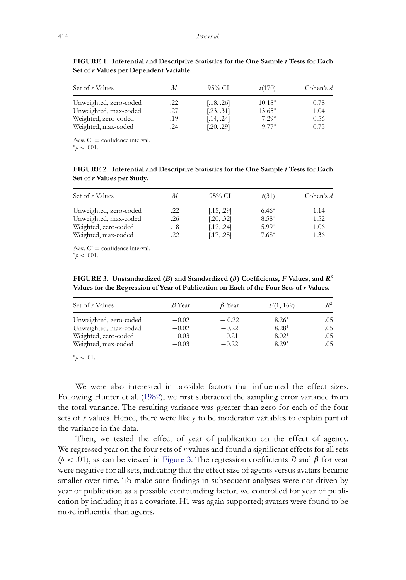| Set of r Values        | M   | $95\%$ CI  | t(170)   | Cohen's d |
|------------------------|-----|------------|----------|-----------|
| Unweighted, zero-coded | .22 | [.18, .26] | $10.18*$ | 0.78      |
| Unweighted, max-coded  | .27 | [.23, .31] | $13.65*$ | 1.04      |
| Weighted, zero-coded   | .19 | [.14, .24] | $7.29*$  | 0.56      |
| Weighted, max-coded    | .24 | [.20, .29] | $9.77*$  | 0.75      |

<span id="page-14-0"></span>**FIGURE 1. Inferential and Descriptive Statistics for the One Sample** *t* **Tests for Each Set of** *r* **Values per Dependent Variable.**

*Note.* CI = confidence interval.<br>\* $p < .001$ .

**FIGURE 2. Inferential and Descriptive Statistics for the One Sample** *t* **Tests for Each Set of** *r* **Values per Study.**

<span id="page-14-1"></span>

| Set of r Values        | M   | $95%$ CI   | t(31)   | Cohen's d |
|------------------------|-----|------------|---------|-----------|
| Unweighted, zero-coded | .22 | [.15, .29] | $6.46*$ | 1.14      |
| Unweighted, max-coded  | .26 | [.20, .32] | $8.58*$ | 1.52      |
| Weighted, zero-coded   | .18 | [.12, .24] | $5.99*$ | 1.06      |
| Weighted, max-coded    | .22 | [.17, .28] | $7.68*$ | 1.36      |

*Note.* CI = confidence interval.<br>\* $p < .001$ .

**FIGURE 3.** Unstandardized (*B*) and Standardized ( $\beta$ ) Coefficients, *F* Values, and  $R^2$ **Values for the Regression of Year of Publication on Each of the Four Sets of** *r* **Values.**

<span id="page-14-2"></span>

| Set of r Values        | B Year  | $\beta$ Year | F(1, 169) | $R^2$ |
|------------------------|---------|--------------|-----------|-------|
| Unweighted, zero-coded | $-0.02$ | $-0.22$      | $8.26*$   | .05   |
| Unweighted, max-coded  | $-0.02$ | $-0.22$      | 8.28*     | .05   |
| Weighted, zero-coded   | $-0.03$ | $-0.21$      | $8.02*$   | .05   |
| Weighted, max-coded    | $-0.03$ | $-0.22$      | 8.29*     | .05   |

 $<sup>∗</sup>p < .01$ .</sup>

We were also interested in possible factors that influenced the effect sizes. Following Hunter et al. [\(1982\)](#page-24-10), we first subtracted the sampling error variance from the total variance. The resulting variance was greater than zero for each of the four sets of *r* values. Hence, there were likely to be moderator variables to explain part of the variance in the data.

Then, we tested the effect of year of publication on the effect of agency. We regressed year on the four sets of  $r$  values and found a significant effects for all sets ( $p < .01$ ), as can be viewed in [Figure 3.](#page-14-2) The regression coefficients *B* and  $\beta$  for year were negative for all sets, indicating that the effect size of agents versus avatars became smaller over time. To make sure findings in subsequent analyses were not driven by year of publication as a possible confounding factor, we controlled for year of publication by including it as a covariate. H1 was again supported; avatars were found to be more influential than agents.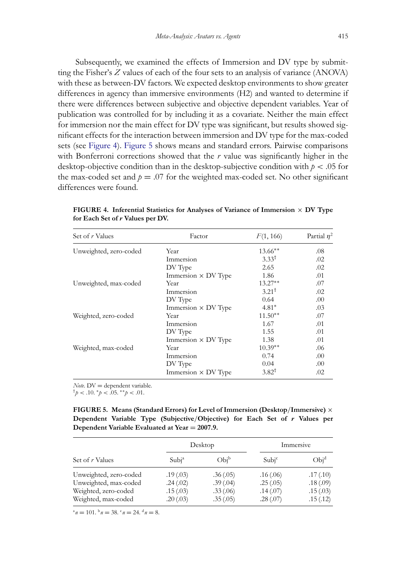Subsequently, we examined the effects of Immersion and DV type by submitting the Fisher's *Z* values of each of the four sets to an analysis of variance (ANOVA) with these as between-DV factors. We expected desktop environments to show greater differences in agency than immersive environments (H2) and wanted to determine if there were differences between subjective and objective dependent variables. Year of publication was controlled for by including it as a covariate. Neither the main effect for immersion nor the main effect for DV type was significant, but results showed significant effects for the interaction between immersion and DV type for the max-coded sets (see [Figure 4\)](#page-15-0). [Figure 5](#page-15-1) shows means and standard errors. Pairwise comparisons with Bonferroni corrections showed that the *r* value was significantly higher in the desktop-objective condition than in the desktop-subjective condition with *p* < .05 for the max-coded set and  $p = .07$  for the weighted max-coded set. No other significant differences were found.

| Set of r Values        | Factor                     | F(1, 166)        | Partial $\eta^2$ |
|------------------------|----------------------------|------------------|------------------|
| Unweighted, zero-coded | Year                       | 13.66**          | .08              |
|                        | Immersion                  | $3.33^{\dagger}$ | .02              |
|                        | DV Type                    | 2.65             | .02              |
|                        | Immersion $\times$ DV Type | 1.86             | .01              |
| Unweighted, max-coded  | Year                       | $13.27**$        | .07              |
|                        | Immersion                  | $3.21^{\dagger}$ | .02              |
|                        | DV Type                    | 0.64             | .00              |
|                        | Immersion $\times$ DV Type | $4.81*$          | .03              |
| Weighted, zero-coded   | Year                       | $11.50**$        | .07              |
|                        | Immersion                  | 1.67             | .01              |
|                        | DV Type                    | 1.55             | .01              |
|                        | Immersion $\times$ DV Type | 1.38             | .01              |
| Weighted, max-coded    | Year                       | $10.39**$        | .06              |
|                        | Immersion                  | 0.74             | .00              |
|                        | DV Type                    | 0.04             | .00              |
|                        | Immersion $\times$ DV Type | $3.82^{\dagger}$ | .02              |

<span id="page-15-0"></span>**FIGURE 4. Inferential Statistics for Analyses of Variance of Immersion** × **DV Type for Each Set of** *r* **Values per DV.**

*Note.* DV = dependent variable.<br><sup>†</sup> $p < .10$ .  $\phi$  < .05. \*\* $p < .01$ .

**FIGURE 5. Means (Standard Errors) for Level of Immersion (Desktop**/**Immersive)** × **Dependent Variable Type (Subjective**/**Objective) for Each Set of** *r* **Values per Dependent Variable Evaluated at Year** = **2007.9.**

<span id="page-15-1"></span>

|                        |                   | Desktop  |                   | Immersive        |
|------------------------|-------------------|----------|-------------------|------------------|
| Set of r Values        | Subi <sup>a</sup> | $Obi^b$  | Subi <sup>c</sup> | Obi <sup>d</sup> |
| Unweighted, zero-coded | .19(0.03)         | .36(.05) | .16(.06)          | .17(.10)         |
| Unweighted, max-coded  | .24(.02)          | .39(.04) | .25(.05)          | .18(.09)         |
| Weighted, zero-coded   | .15(.03)          | .33(.06) | .14(.07)          | .15(.03)         |
| Weighted, max-coded    | .20(0.03)         | .35(.05) | .28(.07)          | .15(0.12)        |

 $a_n = 101$ .  $b_n = 38$ .  $c_n = 24$ .  $d_n = 8$ .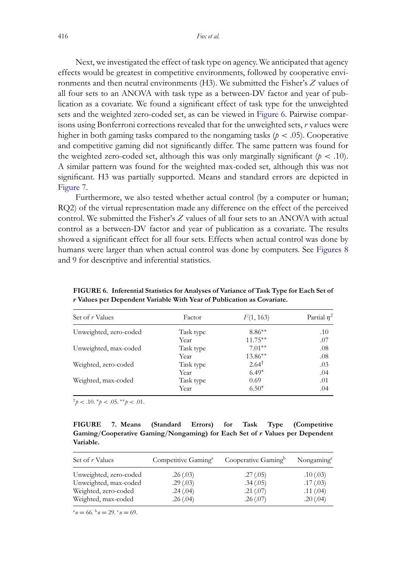Next, we investigated the effect of task type on agency. We anticipated that agency effects would be greatest in competitive environments, followed by cooperative environments and then neutral environments (H3). We submitted the Fisher's *Z* values of all four sets to an ANOVA with task type as a between-DV factor and year of publication as a covariate. We found a significant effect of task type for the unweighted sets and the weighted zero-coded set, as can be viewed in [Figure 6.](#page-16-0) Pairwise comparisons using Bonferroni corrections revealed that for the unweighted sets, *r* values were higher in both gaming tasks compared to the nongaming tasks  $(p < .05)$ . Cooperative and competitive gaming did not significantly differ. The same pattern was found for the weighted zero-coded set, although this was only marginally significant  $(p < .10)$ . A similar pattern was found for the weighted max-coded set, although this was not significant. H3 was partially supported. Means and standard errors are depicted in [Figure 7.](#page-16-1)

Furthermore, we also tested whether actual control (by a computer or human; RQ2) of the virtual representation made any difference on the effect of the perceived control. We submitted the Fisher's *Z* values of all four sets to an ANOVA with actual control as a between-DV factor and year of publication as a covariate. The results showed a significant effect for all four sets. Effects when actual control was done by humans were larger than when actual control was done by computers. See [Figures 8](#page-17-0) and [9](#page-17-1) for descriptive and inferential statistics.

<span id="page-16-0"></span>

| Set of r Values        | Factor    | F(1, 163)        | Partial $\eta^2$ |
|------------------------|-----------|------------------|------------------|
| Unweighted, zero-coded | Task type | $8.86***$        | .10              |
|                        | Year      | $11.75***$       | .07              |
| Unweighted, max-coded  | Task type | $7.01**$         | .08              |
|                        | Year      | 13.86**          | .08              |
| Weighted, zero-coded   | Task type | $2.64^{\dagger}$ | .03              |
|                        | Year      | $6.49*$          | .04              |
| Weighted, max-coded    | Task type | 0.69             | .01              |
|                        | Year      | $6.50*$          | .04              |

**FIGURE 6. Inferential Statistics for Analyses of Variance of Task Type for Each Set of** *r* **Values per Dependent Variable With Year of Publication as Covariate.**

†*p* < .10. <sup>∗</sup>*p* < .05. ∗∗*p* < .01.

**FIGURE 7. Means (Standard Errors) for Task Type (Competitive Gaming**/**Cooperative Gaming**/**Nongaming) for Each Set of** *r* **Values per Dependent Variable.**

<span id="page-16-1"></span>

| Set of r Values        | Competitive Gaming <sup>a</sup> | Cooperative Gaming <sup>b</sup> | Nongaming $\epsilon$ |
|------------------------|---------------------------------|---------------------------------|----------------------|
| Unweighted, zero-coded | .26(.03)                        | .27(0.05)                       | .10(0.03)            |
| Unweighted, max-coded  | .29(.03)                        | .34(.05)                        | .17(03)              |
| Weighted, zero-coded   | .24(.04)                        | .21(.07)                        | .11(.04)             |
| Weighted, max-coded    | .26(.04)                        | .26(.07)                        | .20(.04)             |

 $a^{\text{a}} n = 66. \, \text{b} n = 29. \, \text{c} n = 69.$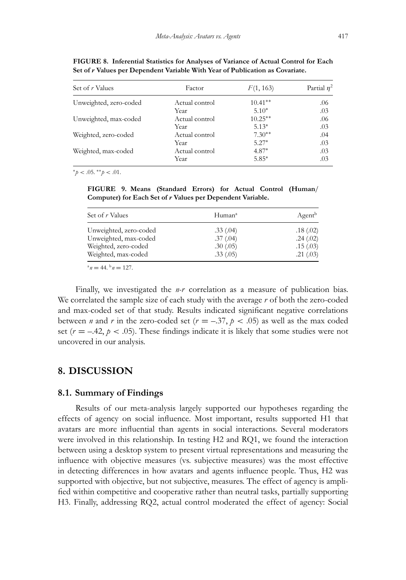| Set of r Values        | Factor         | F(1, 163)  | Partial $\eta^2$ |
|------------------------|----------------|------------|------------------|
| Unweighted, zero-coded | Actual control | $10.41**$  | .06              |
|                        | Year           | $5.10*$    | .03              |
| Unweighted, max-coded  | Actual control | $10.25***$ | .06              |
|                        | Year           | $5.13*$    | .03              |
| Weighted, zero-coded   | Actual control | $7.30**$   | .04              |
|                        | Year           | $5.27*$    | .03              |
| Weighted, max-coded    | Actual control | $4.87*$    | .03              |
|                        | Year           | $5.85*$    | .03              |

<span id="page-17-0"></span>**FIGURE 8. Inferential Statistics for Analyses of Variance of Actual Control for Each Set of** *r* **Values per Dependent Variable With Year of Publication as Covariate.**

<sup>∗</sup>*p* < .05. ∗∗*p* < .01.

**FIGURE 9. Means (Standard Errors) for Actual Control (Human**/ **Computer) for Each Set of** *r* **Values per Dependent Variable.**

<span id="page-17-1"></span>

| Set of <i>r</i> Values                                                                         | Human <sup>a</sup>                           | Agent <sup>b</sup>                           |
|------------------------------------------------------------------------------------------------|----------------------------------------------|----------------------------------------------|
| Unweighted, zero-coded<br>Unweighted, max-coded<br>Weighted, zero-coded<br>Weighted, max-coded | .33(.04)<br>.37(.04)<br>.30(.05)<br>.33(.05) | .18(.02)<br>.24(.02)<br>.15(.03)<br>.21(.03) |

 $a^a n = 44$ .  $b^n n = 127$ .

Finally, we investigated the *n-r* correlation as a measure of publication bias. We correlated the sample size of each study with the average *r* of both the zero-coded and max-coded set of that study. Results indicated significant negative correlations between *n* and *r* in the zero-coded set ( $r = -0.37$ ,  $p < 0.05$ ) as well as the max coded set  $(r = -0.42, p < 0.05)$ . These findings indicate it is likely that some studies were not uncovered in our analysis.

#### **8. DISCUSSION**

#### **8.1. Summary of Findings**

Results of our meta-analysis largely supported our hypotheses regarding the effects of agency on social influence. Most important, results supported H1 that avatars are more influential than agents in social interactions. Several moderators were involved in this relationship. In testing H2 and RQ1, we found the interaction between using a desktop system to present virtual representations and measuring the influence with objective measures (vs. subjective measures) was the most effective in detecting differences in how avatars and agents influence people. Thus, H2 was supported with objective, but not subjective, measures. The effect of agency is amplified within competitive and cooperative rather than neutral tasks, partially supporting H3. Finally, addressing RQ2, actual control moderated the effect of agency: Social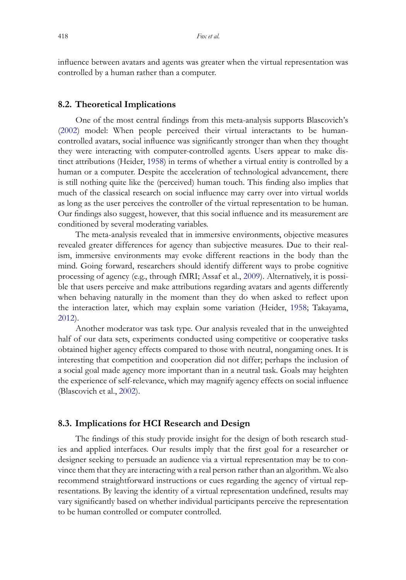influence between avatars and agents was greater when the virtual representation was controlled by a human rather than a computer.

#### **8.2. Theoretical Implications**

One of the most central findings from this meta-analysis supports Blascovich's [\(2002\)](#page-22-0) model: When people perceived their virtual interactants to be humancontrolled avatars, social influence was significantly stronger than when they thought they were interacting with computer-controlled agents. Users appear to make distinct attributions (Heider, [1958\)](#page-24-4) in terms of whether a virtual entity is controlled by a human or a computer. Despite the acceleration of technological advancement, there is still nothing quite like the (perceived) human touch. This finding also implies that much of the classical research on social influence may carry over into virtual worlds as long as the user perceives the controller of the virtual representation to be human. Our findings also suggest, however, that this social influence and its measurement are conditioned by several moderating variables.

The meta-analysis revealed that in immersive environments, objective measures revealed greater differences for agency than subjective measures. Due to their realism, immersive environments may evoke different reactions in the body than the mind. Going forward, researchers should identify different ways to probe cognitive processing of agency (e.g., through fMRI; Assaf et al., [2009\)](#page-22-11). Alternatively, it is possible that users perceive and make attributions regarding avatars and agents differently when behaving naturally in the moment than they do when asked to reflect upon the interaction later, which may explain some variation (Heider, [1958;](#page-24-4) Takayama, [2012\)](#page-26-12).

Another moderator was task type. Our analysis revealed that in the unweighted half of our data sets, experiments conducted using competitive or cooperative tasks obtained higher agency effects compared to those with neutral, nongaming ones. It is interesting that competition and cooperation did not differ; perhaps the inclusion of a social goal made agency more important than in a neutral task. Goals may heighten the experience of self-relevance, which may magnify agency effects on social influence (Blascovich et al., [2002\)](#page-23-0).

#### **8.3. Implications for HCI Research and Design**

The findings of this study provide insight for the design of both research studies and applied interfaces. Our results imply that the first goal for a researcher or designer seeking to persuade an audience via a virtual representation may be to convince them that they are interacting with a real person rather than an algorithm. We also recommend straightforward instructions or cues regarding the agency of virtual representations. By leaving the identity of a virtual representation undefined, results may vary significantly based on whether individual participants perceive the representation to be human controlled or computer controlled.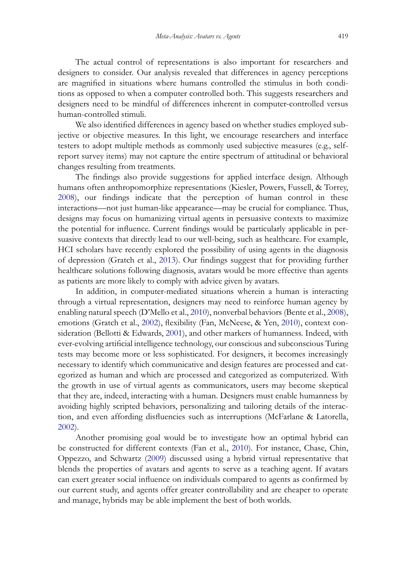The actual control of representations is also important for researchers and designers to consider. Our analysis revealed that differences in agency perceptions are magnified in situations where humans controlled the stimulus in both conditions as opposed to when a computer controlled both. This suggests researchers and designers need to be mindful of differences inherent in computer-controlled versus human-controlled stimuli.

We also identified differences in agency based on whether studies employed subjective or objective measures. In this light, we encourage researchers and interface testers to adopt multiple methods as commonly used subjective measures (e.g., selfreport survey items) may not capture the entire spectrum of attitudinal or behavioral changes resulting from treatments.

The findings also provide suggestions for applied interface design. Although humans often anthropomorphize representations (Kiesler, Powers, Fussell, & Torrey, [2008\)](#page-24-11), our findings indicate that the perception of human control in these interactions—not just human-like appearance—may be crucial for compliance. Thus, designs may focus on humanizing virtual agents in persuasive contexts to maximize the potential for influence. Current findings would be particularly applicable in persuasive contexts that directly lead to our well-being, such as healthcare. For example, HCI scholars have recently explored the possibility of using agents in the diagnosis of depression (Gratch et al., [2013\)](#page-23-11). Our findings suggest that for providing further healthcare solutions following diagnosis, avatars would be more effective than agents as patients are more likely to comply with advice given by avatars.

In addition, in computer-mediated situations wherein a human is interacting through a virtual representation, designers may need to reinforce human agency by enabling natural speech (D'Mello et al., [2010\)](#page-23-5), nonverbal behaviors (Bente et al., [2008\)](#page-22-5), emotions (Gratch et al., [2002\)](#page-24-1), flexibility (Fan, McNeese, & Yen, [2010\)](#page-23-12), context consideration (Bellotti & Edwards, [2001\)](#page-22-4), and other markers of humanness. Indeed, with ever-evolving artificial intelligence technology, our conscious and subconscious Turing tests may become more or less sophisticated. For designers, it becomes increasingly necessary to identify which communicative and design features are processed and categorized as human and which are processed and categorized as computerized. With the growth in use of virtual agents as communicators, users may become skeptical that they are, indeed, interacting with a human. Designers must enable humanness by avoiding highly scripted behaviors, personalizing and tailoring details of the interaction, and even affording disfluencies such as interruptions (McFarlane & Latorella, [2002\)](#page-24-12).

Another promising goal would be to investigate how an optimal hybrid can be constructed for different contexts (Fan et al., [2010\)](#page-23-12). For instance, Chase, Chin, Oppezzo, and Schwartz [\(2009\)](#page-23-13) discussed using a hybrid virtual representative that blends the properties of avatars and agents to serve as a teaching agent. If avatars can exert greater social influence on individuals compared to agents as confirmed by our current study, and agents offer greater controllability and are cheaper to operate and manage, hybrids may be able implement the best of both worlds.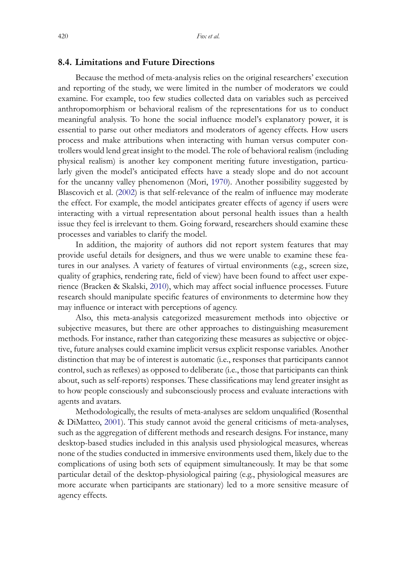#### **8.4. Limitations and Future Directions**

Because the method of meta-analysis relies on the original researchers' execution and reporting of the study, we were limited in the number of moderators we could examine. For example, too few studies collected data on variables such as perceived anthropomorphism or behavioral realism of the representations for us to conduct meaningful analysis. To hone the social influence model's explanatory power, it is essential to parse out other mediators and moderators of agency effects. How users process and make attributions when interacting with human versus computer controllers would lend great insight to the model. The role of behavioral realism (including physical realism) is another key component meriting future investigation, particularly given the model's anticipated effects have a steady slope and do not account for the uncanny valley phenomenon (Mori, [1970\)](#page-25-3). Another possibility suggested by Blascovich et al. [\(2002\)](#page-23-0) is that self-relevance of the realm of influence may moderate the effect. For example, the model anticipates greater effects of agency if users were interacting with a virtual representation about personal health issues than a health issue they feel is irrelevant to them. Going forward, researchers should examine these processes and variables to clarify the model.

In addition, the majority of authors did not report system features that may provide useful details for designers, and thus we were unable to examine these features in our analyses. A variety of features of virtual environments (e.g., screen size, quality of graphics, rendering rate, field of view) have been found to affect user experience (Bracken & Skalski, [2010\)](#page-23-14), which may affect social influence processes. Future research should manipulate specific features of environments to determine how they may influence or interact with perceptions of agency.

Also, this meta-analysis categorized measurement methods into objective or subjective measures, but there are other approaches to distinguishing measurement methods. For instance, rather than categorizing these measures as subjective or objective, future analyses could examine implicit versus explicit response variables. Another distinction that may be of interest is automatic (i.e., responses that participants cannot control, such as reflexes) as opposed to deliberate (i.e., those that participants can think about, such as self-reports) responses. These classifications may lend greater insight as to how people consciously and subconsciously process and evaluate interactions with agents and avatars.

Methodologically, the results of meta-analyses are seldom unqualified (Rosenthal & DiMatteo, [2001\)](#page-25-11). This study cannot avoid the general criticisms of meta-analyses, such as the aggregation of different methods and research designs. For instance, many desktop-based studies included in this analysis used physiological measures, whereas none of the studies conducted in immersive environments used them, likely due to the complications of using both sets of equipment simultaneously. It may be that some particular detail of the desktop-physiological pairing (e.g., physiological measures are more accurate when participants are stationary) led to a more sensitive measure of agency effects.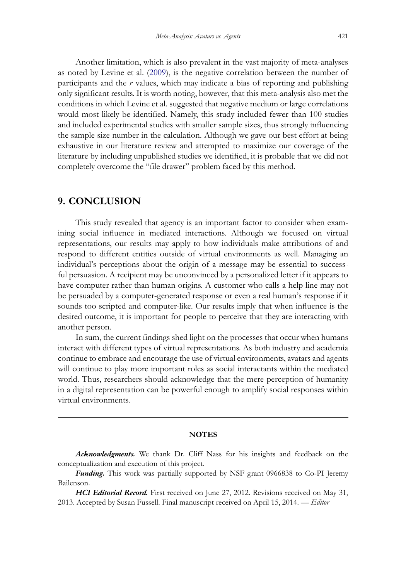Another limitation, which is also prevalent in the vast majority of meta-analyses as noted by Levine et al. [\(2009\)](#page-24-8), is the negative correlation between the number of participants and the *r* values, which may indicate a bias of reporting and publishing only significant results. It is worth noting, however, that this meta-analysis also met the conditions in which Levine et al. suggested that negative medium or large correlations would most likely be identified. Namely, this study included fewer than 100 studies and included experimental studies with smaller sample sizes, thus strongly influencing the sample size number in the calculation. Although we gave our best effort at being exhaustive in our literature review and attempted to maximize our coverage of the literature by including unpublished studies we identified, it is probable that we did not completely overcome the "file drawer" problem faced by this method.

#### **9. CONCLUSION**

This study revealed that agency is an important factor to consider when examining social influence in mediated interactions. Although we focused on virtual representations, our results may apply to how individuals make attributions of and respond to different entities outside of virtual environments as well. Managing an individual's perceptions about the origin of a message may be essential to successful persuasion. A recipient may be unconvinced by a personalized letter if it appears to have computer rather than human origins. A customer who calls a help line may not be persuaded by a computer-generated response or even a real human's response if it sounds too scripted and computer-like. Our results imply that when influence is the desired outcome, it is important for people to perceive that they are interacting with another person.

In sum, the current findings shed light on the processes that occur when humans interact with different types of virtual representations. As both industry and academia continue to embrace and encourage the use of virtual environments, avatars and agents will continue to play more important roles as social interactants within the mediated world. Thus, researchers should acknowledge that the mere perception of humanity in a digital representation can be powerful enough to amplify social responses within virtual environments.

#### **NOTES**

*Acknowledgments.* We thank Dr. Cliff Nass for his insights and feedback on the conceptualization and execution of this project.

Funding. This work was partially supported by NSF grant 0966838 to Co-PI Jeremy Bailenson.

*HCI Editorial Record.* First received on June 27, 2012. Revisions received on May 31, 2013. Accepted by Susan Fussell. Final manuscript received on April 15, 2014. — *Editor*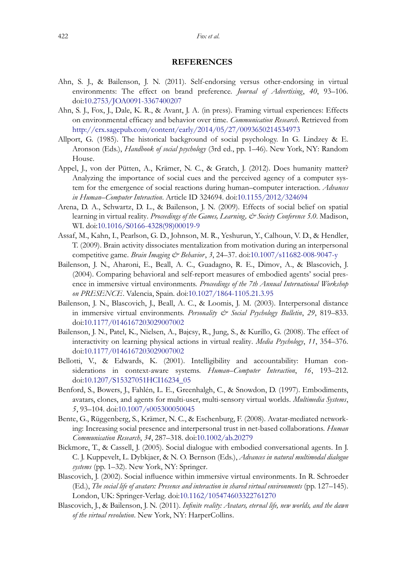#### **REFERENCES**

- <span id="page-22-6"></span>Ahn, S. J., & Bailenson, J. N. (2011). Self-endorsing versus other-endorsing in virtual environments: The effect on brand preference. *Journal of Advertising*, *40*, 93–106. doi[:10.2753/JOA0091-3367400207](http://dx.doi.org/10.2753/JOA0091-3367400207)
- Ahn, S. J., Fox, J., Dale, K. R., & Avant, J. A. (in press). Framing virtual experiences: Effects on environmental efficacy and behavior over time. *Communication Research*. Retrieved from <http://crx.sagepub.com/content/early/2014/05/27/0093650214534973>
- <span id="page-22-7"></span>Allport, G. (1985). The historical background of social psychology. In G. Lindzey & E. Aronson (Eds.), *Handbook of social psychology* (3rd ed., pp. 1–46). New York, NY: Random House.
- <span id="page-22-8"></span>Appel, J., von der Pütten, A., Krämer, N. C., & Gratch, J. (2012). Does humanity matter? Analyzing the importance of social cues and the perceived agency of a computer system for the emergence of social reactions during human–computer interaction. *Advances in Human–Computer Interaction*. Article ID 324694. doi[:10.1155/2012/324694](http://dx.doi.org/10.1155/2012/324694)
- <span id="page-22-12"></span>Arena, D. A., Schwartz, D. L., & Bailenson, J. N. (2009). Effects of social belief on spatial learning in virtual reality. *Proceedings of the Games, Learning, & Society Conference 5.0*. Madison, WI. doi[:10.1016/S0166-4328\(98\)00019-9](http://dx.doi.org/10.1016/S0166-4328(98)00019-9)
- <span id="page-22-11"></span>Assaf, M., Kahn, I., Pearlson, G. D., Johnson, M. R., Yeshurun, Y., Calhoun, V. D., & Hendler, T. (2009). Brain activity dissociates mentalization from motivation during an interpersonal competitive game. *Brain Imaging & Behavior*, *3*, 24–37. doi[:10.1007/s11682-008-9047-y](http://dx.doi.org/10.1007/s11682-008-9047-y)
- Bailenson, J. N., Aharoni, E., Beall, A. C., Guadagno, R. E., Dimov, A., & Blascovich, J. (2004). Comparing behavioral and self-report measures of embodied agents' social presence in immersive virtual environments. *Proceedings of the 7th Annual International Workshop on PRESENCE*. Valencia, Spain. doi[:10.1027/1864-1105.21.3.95](http://dx.doi.org/10.1027/1864-1105.21.3.95)
- <span id="page-22-9"></span>Bailenson, J. N., Blascovich, J., Beall, A. C., & Loomis, J. M. (2003). Interpersonal distance in immersive virtual environments. *Personality & Social Psychology Bulletin*, *29*, 819–833. doi[:10.1177/0146167203029007002](http://dx.doi.org/10.1177/0146167203029007002)
- <span id="page-22-10"></span>Bailenson, J. N., Patel, K., Nielsen, A., Bajcsy, R., Jung, S., & Kurillo, G. (2008). The effect of interactivity on learning physical actions in virtual reality. *Media Psychology*, *11*, 354–376. doi[:10.1177/0146167203029007002](http://dx.doi.org/10.1177/0146167203029007002)
- <span id="page-22-4"></span>Bellotti, V., & Edwards, K. (2001). Intelligibility and accountability: Human considerations in context-aware systems. *Human–Computer Interaction*, *16*, 193–212. doi[:10.1207/S15327051HCI16234\\_05](http://dx.doi.org/10.1207/S15327051HCI16234_05)
- <span id="page-22-3"></span>Benford, S., Bowers, J., Fahlén, L. E., Greenhalgh, C., & Snowdon, D. (1997). Embodiments, avatars, clones, and agents for multi-user, multi-sensory virtual worlds. *Multimedia Systems*, *5*, 93–104. doi[:10.1007/s005300050045](http://dx.doi.org/10.1007/s005300050045)
- <span id="page-22-5"></span>Bente, G., Rüggenberg, S., Krämer, N. C., & Eschenburg, F. (2008). Avatar-mediated networking: Increasing social presence and interpersonal trust in net-based collaborations. *Human Communication Research*, *34*, 287–318. doi[:10.1002/ab.20279](http://dx.doi.org/10.1002/ab.20279)
- <span id="page-22-2"></span>Bickmore, T., & Cassell, J. (2005). Social dialogue with embodied conversational agents. In J. C. J. Kuppevelt, L. Dybkjaer, & N. O. Bernson (Eds.), *Advances in natural multimodal dialogue systems* (pp. 1–32). New York, NY: Springer.
- <span id="page-22-0"></span>Blascovich, J. (2002). Social influence within immersive virtual environments. In R. Schroeder (Ed.), *The social life of avatars: Presence and interaction in shared virtual environments* (pp. 127–145). London, UK: Springer-Verlag. doi[:10.1162/105474603322761270](http://dx.doi.org/10.1162/105474603322761270)
- <span id="page-22-1"></span>Blascovich, J., & Bailenson, J. N. (2011). *Infinite reality: Avatars, eternal life, new worlds, and the dawn of the virtual revolution*. New York, NY: HarperCollins.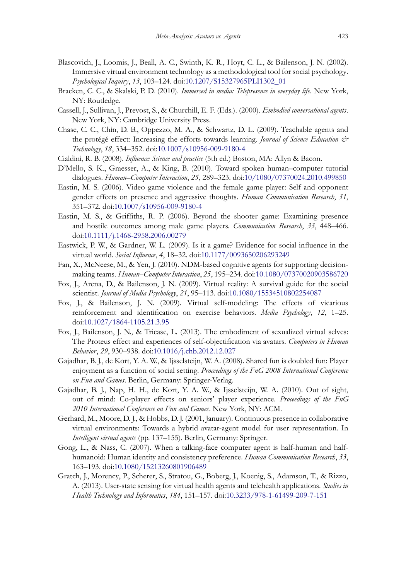- <span id="page-23-0"></span>Blascovich, J., Loomis, J., Beall, A. C., Swinth, K. R., Hoyt, C. L., & Bailenson, J. N. (2002). Immersive virtual environment technology as a methodological tool for social psychology. *Psychological Inquiry*, *13*, 103–124. doi[:10.1207/S15327965PLI1302\\_01](http://dx.doi.org/10.1207/S15327965PLI1302_01)
- <span id="page-23-14"></span>Bracken, C. C., & Skalski, P. D. (2010). *Immersed in media: Telepresence in everyday life*. New York, NY: Routledge.
- <span id="page-23-1"></span>Cassell, J., Sullivan, J., Prevost, S., & Churchill, E. F. (Eds.). (2000). *Embodied conversational agents*. New York, NY: Cambridge University Press.
- <span id="page-23-13"></span>Chase, C. C., Chin, D. B., Oppezzo, M. A., & Schwartz, D. L. (2009). Teachable agents and the protégé effect: Increasing the efforts towards learning. *Journal of Science Education & Technology*, *18*, 334–352. doi[:10.1007/s10956-009-9180-4](http://dx.doi.org/10.1007/s10956-009-9180-4)
- <span id="page-23-8"></span>Cialdini, R. B. (2008). *Influence: Science and practice* (5th ed.) Boston, MA: Allyn & Bacon.
- <span id="page-23-5"></span>D'Mello, S. K., Graesser, A., & King, B. (2010). Toward spoken human–computer tutorial dialogues. *Human–Computer Interaction*, *25*, 289–323. doi[:10/1080/07370024.2010.499850](http://dx.doi.org/10/1080/07370024.2010.499850)
- <span id="page-23-9"></span>Eastin, M. S. (2006). Video game violence and the female game player: Self and opponent gender effects on presence and aggressive thoughts. *Human Communication Research*, *31*, 351–372. doi[:10.1007/s10956-009-9180-4](http://dx.doi.org/10.1007/s10956-009-9180-4)
- <span id="page-23-10"></span>Eastin, M. S., & Griffiths, R. P. (2006). Beyond the shooter game: Examining presence and hostile outcomes among male game players. *Communication Research*, *33*, 448–466. doi[:10.1111/j.1468-2958.2006.00279](http://dx.doi.org/10.1111/j.1468-2958.2006.00279)
- <span id="page-23-4"></span>Eastwick, P. W., & Gardner, W. L. (2009). Is it a game? Evidence for social influence in the virtual world. *Social Influence*, *4*, 18–32. doi[:10.1177/0093650206293249](http://dx.doi.org/10.1177/0093650206293249)
- <span id="page-23-12"></span>Fan, X., McNeese, M., & Yen, J. (2010). NDM-based cognitive agents for supporting decisionmaking teams. *Human–Computer Interaction*, *25*, 195–234. doi[:10.1080/07370020903586720](http://dx.doi.org/10.1080/07370020903586720)
- <span id="page-23-2"></span>Fox, J., Arena, D., & Bailenson, J. N. (2009). Virtual reality: A survival guide for the social scientist. *Journal of Media Psychology*, *21*, 95–113. doi[:10.1080/15534510802254087](http://dx.doi.org/10.1080/15534510802254087)
- <span id="page-23-3"></span>Fox, J., & Bailenson, J. N. (2009). Virtual self-modeling: The effects of vicarious reinforcement and identification on exercise behaviors. *Media Psychology*, *12*, 1–25. doi[:10.1027/1864-1105.21.3.95](http://dx.doi.org/10.1027/1864-1105.21.3.95)
- <span id="page-23-6"></span>Fox, J., Bailenson, J. N., & Tricase, L. (2013). The embodiment of sexualized virtual selves: The Proteus effect and experiences of self-objectification via avatars. *Computers in Human Behavior*, *29*, 930–938. doi[:10.1016/j.chb.2012.12.027](http://dx.doi.org/10.1016/j.chb.2012.12.027)
- <span id="page-23-15"></span>Gajadhar, B. J., de Kort, Y. A. W., & Ijsselsteijn, W. A. (2008). Shared fun is doubled fun: Player enjoyment as a function of social setting. *Proceedings of the FnG 2008 International Conference on Fun and Games*. Berlin, Germany: Springer-Verlag.
- <span id="page-23-16"></span>Gajadhar, B. J., Nap, H. H., de Kort, Y. A. W., & Ijsselsteijn, W. A. (2010). Out of sight, out of mind: Co-player effects on seniors' player experience. *Proceedings of the FnG 2010 International Conference on Fun and Games*. New York, NY: ACM.
- Gerhard, M., Moore, D. J., & Hobbs, D. J. (2001, January). Continuous presence in collaborative virtual environments: Towards a hybrid avatar-agent model for user representation. In *Intelligent virtual agents* (pp. 137–155). Berlin, Germany: Springer.
- <span id="page-23-7"></span>Gong, L., & Nass, C. (2007). When a talking-face computer agent is half-human and halfhumanoid: Human identity and consistency preference. *Human Communication Research*, *33*, 163–193. doi[:10.1080/15213260801906489](http://dx.doi.org/10.1080/15213260801906489)
- <span id="page-23-11"></span>Gratch, J., Morency, P., Scherer, S., Stratou, G., Boberg, J., Koenig, S., Adamson, T., & Rizzo, A. (2013). User-state sensing for virtual health agents and telehealth applications. *Studies in Health Technology and Informatics*, *184*, 151–157. doi[:10.3233/978-1-61499-209-7-151](http://dx.doi.org/10.3233/978-1-61499-209-7-151)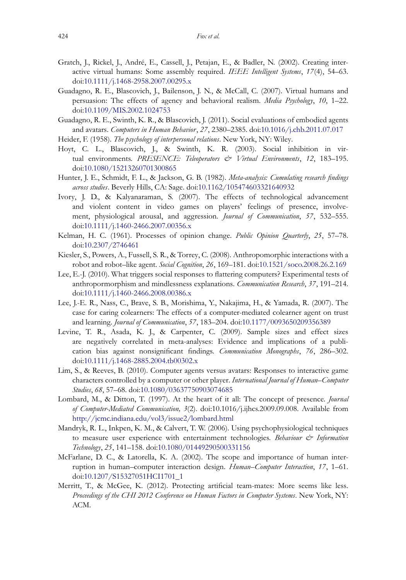- <span id="page-24-1"></span>Gratch, J., Rickel, J., André, E., Cassell, J., Petajan, E., & Badler, N. (2002). Creating interactive virtual humans: Some assembly required. *IEEE Intelligent Systems*, *17*(4), 54–63. doi[:10.1111/j.1468-2958.2007.00295.x](http://dx.doi.org/10.1111/j.1468-2958.2007.00295.x)
- <span id="page-24-13"></span>Guadagno, R. E., Blascovich, J., Bailenson, J. N., & McCall, C. (2007). Virtual humans and persuasion: The effects of agency and behavioral realism. *Media Psychology*, *10*, 1–22. doi[:10.1109/MIS.2002.1024753](http://dx.doi.org/10.1109/MIS.2002.1024753)
- <span id="page-24-14"></span>Guadagno, R. E., Swinth, K. R., & Blascovich, J. (2011). Social evaluations of embodied agents and avatars. *Computers in Human Behavior*, *27*, 2380–2385. doi[:10.1016/j.chb.2011.07.017](http://dx.doi.org/10.1016/j.chb.2011.07.017)
- <span id="page-24-4"></span>Heider, F. (1958). *The psychology of interpersonal relations*. New York, NY: Wiley.
- <span id="page-24-3"></span>Hoyt, C. L., Blascovich, J., & Swinth, K. R. (2003). Social inhibition in virtual environments. *PRESENCE: Teleoperators & Virtual Environments*, *12*, 183–195. doi[:10.1080/15213260701300865](http://dx.doi.org/10.1080/15213260701300865)
- <span id="page-24-10"></span>Hunter, J. E., Schmidt, F. L., & Jackson, G. B. (1982). *Meta-analysis: Cumulating research findings across studies*. Beverly Hills, CA: Sage. doi[:10.1162/105474603321640932](http://dx.doi.org/10.1162/105474603321640932)
- <span id="page-24-9"></span>Ivory, J. D., & Kalyanaraman, S. (2007). The effects of technological advancement and violent content in video games on players' feelings of presence, involvement, physiological arousal, and aggression. *Journal of Communication*, *57*, 532–555. doi[:10.1111/j.1460-2466.2007.00356.x](http://dx.doi.org/10.1111/j.1460-2466.2007.00356.x)
- <span id="page-24-5"></span>Kelman, H. C. (1961). Processes of opinion change. *Public Opinion Quarterly*, *25*, 57–78. doi[:10.2307/2746461](http://dx.doi.org/10.2307/2746461)
- <span id="page-24-11"></span>Kiesler, S., Powers, A., Fussell, S. R., & Torrey, C. (2008). Anthropomorphic interactions with a robot and robot–like agent. *Social Cognition*, *26*, 169–181. doi[:10.1521/soco.2008.26.2.169](http://dx.doi.org/10.1521/soco.2008.26.2.169)
- <span id="page-24-7"></span>Lee, E.-J. (2010). What triggers social responses to flattering computers? Experimental tests of anthropormorphism and mindlessness explanations. *Communication Research*, *37*, 191–214. doi[:10.1111/j.1460-2466.2008.00386.x](http://dx.doi.org/10.1111/j.1460-2466.2008.00386.x)
- <span id="page-24-2"></span>Lee, J.-E. R., Nass, C., Brave, S. B., Morishima, Y., Nakajima, H., & Yamada, R. (2007). The case for caring colearners: The effects of a computer-mediated colearner agent on trust and learning. *Journal of Communication*, *57*, 183–204. doi[:10.1177/0093650209356389](http://dx.doi.org/10.1177/0093650209356389)
- <span id="page-24-8"></span>Levine, T. R., Asada, K. J., & Carpenter, C. (2009). Sample sizes and effect sizes are negatively correlated in meta-analyses: Evidence and implications of a publication bias against nonsignificant findings. *Communication Monographs*, *76*, 286–302. doi[:10.1111/j.1468-2885.2004.tb00302.x](http://dx.doi.org/10.1111/j.1468-2885.2004.tb00302.x)
- <span id="page-24-0"></span>Lim, S., & Reeves, B. (2010). Computer agents versus avatars: Responses to interactive game characters controlled by a computer or other player. *International Journal of Human–Computer Studies*, *68*, 57–68. doi[:10.1080/03637750903074685](http://dx.doi.org/10.1080/03637750903074685)
- <span id="page-24-6"></span>Lombard, M., & Ditton, T. (1997). At the heart of it all: The concept of presence. *Journal of Computer-Mediated Communication, 3*(2). doi:10.1016/j.ijhcs.2009.09.008. Available from <http://jcmc.indiana.edu/vol3/issue2/lombard.html>
- <span id="page-24-15"></span>Mandryk, R. L., Inkpen, K. M., & Calvert, T. W. (2006). Using psychophysiological techniques to measure user experience with entertainment technologies. *Behaviour & Information Technology*, *25*, 141–158. doi[:10.1080/01449290500331156](http://dx.doi.org/10.1080/01449290500331156)
- <span id="page-24-12"></span>McFarlane, D. C., & Latorella, K. A. (2002). The scope and importance of human interruption in human–computer interaction design. *Human–Computer Interaction*, *17*, 1–61. doi[:10.1207/S15327051HCI1701\\_1](http://dx.doi.org/10.1207/S15327051HCI1701_1)
- <span id="page-24-16"></span>Merritt, T., & McGee, K. (2012). Protecting artificial team-mates: More seems like less. *Proceedings of the CHI 2012 Conference on Human Factors in Computer Systems*. New York, NY: ACM.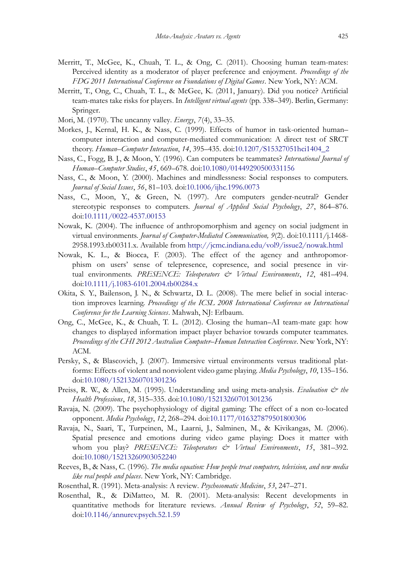- <span id="page-25-13"></span>Merritt, T., McGee, K., Chuah, T. L., & Ong, C. (2011). Choosing human team-mates: Perceived identity as a moderator of player preference and enjoyment. *Proceedings of the FDG 2011 International Conference on Foundations of Digital Games*. New York, NY: ACM.
- <span id="page-25-14"></span>Merritt, T., Ong, C., Chuah, T. L., & McGee, K. (2011, January). Did you notice? Artificial team-mates take risks for players. In *Intelligent virtual agents* (pp. 338–349). Berlin, Germany: Springer.
- <span id="page-25-3"></span>Mori, M. (1970). The uncanny valley. *Energy*, *7*(4), 33–35.
- <span id="page-25-0"></span>Morkes, J., Kernal, H. K., & Nass, C. (1999). Effects of humor in task-oriented human– computer interaction and computer-mediated communication: A direct test of SRCT theory. *Human–Computer Interaction*, *14*, 395–435. doi[:10.1207/S15327051hci1404\\_2](http://dx.doi.org/10.1207/S15327051hci1404_2)
- <span id="page-25-6"></span>Nass, C., Fogg, B. J., & Moon, Y. (1996). Can computers be teammates? *International Journal of Human–Computer Studies*, *45*, 669–678. doi[:10.1080/01449290500331156](http://dx.doi.org/10.1080/01449290500331156)
- <span id="page-25-4"></span>Nass, C., & Moon, Y. (2000). Machines and mindlessness: Social responses to computers. *Journal of Social Issues*, *56*, 81–103. doi[:10.1006/ijhc.1996.0073](http://dx.doi.org/10.1006/ijhc.1996.0073)
- <span id="page-25-7"></span>Nass, C., Moon, Y., & Green, N. (1997). Are computers gender-neutral? Gender stereotypic responses to computers. *Journal of Applied Social Psychology*, *27*, 864–876. doi[:10.1111/0022-4537.00153](http://dx.doi.org/10.1111/0022-4537.00153)
- <span id="page-25-15"></span>Nowak, K. (2004). The influence of anthropomorphism and agency on social judgment in virtual environments. *Journal of Computer-Mediated Communication, 9*(2). doi:10.1111/j.1468- 2958.1993.tb00311.x. Available from <http://jcmc.indiana.edu/vol9/issue2/nowak.html>
- <span id="page-25-2"></span>Nowak, K. L., & Biocca, F. (2003). The effect of the agency and anthropomorphism on users' sense of telepresence, copresence, and social presence in virtual environments. *PRESENCE: Teleoperators & Virtual Environments*, *12*, 481–494. doi[:10.1111/j.1083-6101.2004.tb00284.x](http://dx.doi.org/10.1111/j.1083-6101.2004.tb00284.x)
- <span id="page-25-1"></span>Okita, S. Y., Bailenson, J. N., & Schwartz, D. L. (2008). The mere belief in social interaction improves learning. *Proceedings of the ICSL 2008 International Conference on International Conference for the Learning Sciences*. Mahwah, NJ: Erlbaum.
- <span id="page-25-16"></span>Ong, C., McGee, K., & Chuah, T. L. (2012). Closing the human–AI team-mate gap: how changes to displayed information impact player behavior towards computer teammates. *Proceedings of the CHI 2012 Australian Computer–Human Interaction Conference*. New York, NY: ACM.
- <span id="page-25-8"></span>Persky, S., & Blascovich, J. (2007). Immersive virtual environments versus traditional platforms: Effects of violent and nonviolent video game playing. *Media Psychology*, *10*, 135–156. doi[:10.1080/15213260701301236](http://dx.doi.org/10.1080/15213260701301236)
- <span id="page-25-10"></span>Preiss, R. W., & Allen, M. (1995). Understanding and using meta-analysis. *Evaluation & the Health Professions*, *18*, 315–335. doi[:10.1080/15213260701301236](http://dx.doi.org/10.1080/15213260701301236)
- <span id="page-25-9"></span>Ravaja, N. (2009). The psychophysiology of digital gaming: The effect of a non co-located opponent. *Media Psychology*, *12*, 268–294. doi[:10.1177/016327879501800306](http://dx.doi.org/10.1177/016327879501800306)
- <span id="page-25-17"></span>Ravaja, N., Saari, T., Turpeinen, M., Laarni, J., Salminen, M., & Kivikangas, M. (2006). Spatial presence and emotions during video game playing: Does it matter with whom you play? *PRESENCE: Teleoperators & Virtual Environments*, 15, 381-392. doi[:10.1080/15213260903052240](http://dx.doi.org/10.1080/15213260903052240)
- <span id="page-25-5"></span>Reeves, B., & Nass, C. (1996). *The media equation: How people treat computers, television, and new media like real people and places*. New York, NY: Cambridge.
- <span id="page-25-12"></span>Rosenthal, R. (1991). Meta-analysis: A review. *Psychosomatic Medicine*, *53*, 247–271.
- <span id="page-25-11"></span>Rosenthal, R., & DiMatteo, M. R. (2001). Meta-analysis: Recent developments in quantitative methods for literature reviews. *Annual Review of Psychology*, *52*, 59–82. doi[:10.1146/annurev.psych.52.1.59](http://dx.doi.org/10.1146/annurev.psych.52.1.59)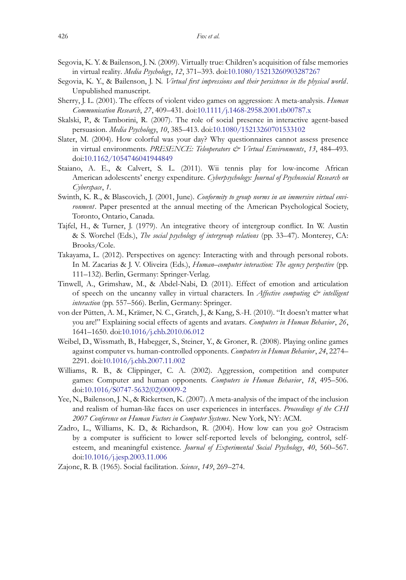- <span id="page-26-1"></span>Segovia, K. Y. & Bailenson, J. N. (2009). Virtually true: Children's acquisition of false memories in virtual reality. *Media Psychology*, *12*, 371–393. doi[:10.1080/15213260903287267](http://dx.doi.org/10.1080/15213260903287267)
- Segovia, K. Y., & Bailenson, J. N. *Virtual first impressions and their persistence in the physical world* . Unpublished manuscript.
- <span id="page-26-11"></span>Sherry, J. L. (2001). The effects of violent video games on aggression: A meta-analysis. *Human Communication Research*, *27*, 409–431. doi[:10.1111/j.1468-2958.2001.tb00787.x](http://dx.doi.org/10.1111/j.1468-2958.2001.tb00787.x)
- <span id="page-26-0"></span>Skalski, P., & Tamborini, R. (2007). The role of social presence in interactive agent-based persuasion. *Media Psychology*, *10*, 385–413. doi[:10.1080/15213260701533102](http://dx.doi.org/10.1080/15213260701533102)
- <span id="page-26-8"></span>Slater, M. (2004). How colorful was your day? Why questionnaires cannot assess presence in virtual environments. *PRESENCE: Teleoperators & Virtual Environments*, *13*, 484–493. doi[:10.1162/1054746041944849](http://dx.doi.org/10.1162/1054746041944849)
- <span id="page-26-14"></span>Staiano, A. E., & Calvert, S. L. (2011). Wii tennis play for low-income African American adolescents' energy expenditure. *Cyberpsychology: Journal of Psychosocial Research on Cyberspace*, *1*.
- <span id="page-26-13"></span>Swinth, K. R., & Blascovich, J. (2001, June). *Conformity to group norms in an immersive virtual environment*. Paper presented at the annual meeting of the American Psychological Society, Toronto, Ontario, Canada.
- <span id="page-26-4"></span>Tajfel, H., & Turner, J. (1979). An integrative theory of intergroup conflict. In W. Austin & S. Worchel (Eds.), *The social psychology of intergroup relations* (pp. 33–47). Monterey, CA: Brooks/Cole.
- <span id="page-26-12"></span>Takayama, L. (2012). Perspectives on agency: Interacting with and through personal robots. In M. Zacarias & J. V. Oliveira (Eds.), *Human–computer interaction: The agency perspective* (pp. 111–132). Berlin, Germany: Springer-Verlag.
- <span id="page-26-2"></span>Tinwell, A., Grimshaw, M., & Abdel-Nabi, D. (2011). Effect of emotion and articulation of speech on the uncanny valley in virtual characters. In *Affective computing & intelligent interaction* (pp. 557–566). Berlin, Germany: Springer.
- <span id="page-26-5"></span>von der Pütten, A. M., Krämer, N. C., Gratch, J., & Kang, S.-H. (2010). "It doesn't matter what you are!" Explaining social effects of agents and avatars. *Computers in Human Behavior*, *26*, 1641–1650. doi[:10.1016/j.chb.2010.06.012](http://dx.doi.org/10.1016/j.chb.2010.06.012)
- <span id="page-26-10"></span>Weibel, D., Wissmath, B., Habegger, S., Steiner, Y., & Groner, R. (2008). Playing online games against computer vs. human-controlled opponents. *Computers in Human Behavior*, *24*, 2274– 2291. doi[:10.1016/j.chb.2007.11.002](http://dx.doi.org/10.1016/j.chb.2007.11.002)
- <span id="page-26-6"></span>Williams, R. B., & Clippinger, C. A. (2002). Aggression, competition and computer games: Computer and human opponents. *Computers in Human Behavior*, *18*, 495–506. doi[:10.1016/S0747-5632\(02\)00009-2](http://dx.doi.org/10.1016/S0747-5632(02)00009-2)
- <span id="page-26-9"></span>Yee, N., Bailenson, J. N., & Rickertsen, K. (2007). A meta-analysis of the impact of the inclusion and realism of human-like faces on user experiences in interfaces. *Proceedings of the CHI 2007 Conference on Human Factors in Computer Systems*. New York, NY: ACM.
- <span id="page-26-7"></span>Zadro, L., Williams, K. D., & Richardson, R. (2004). How low can you go? Ostracism by a computer is sufficient to lower self-reported levels of belonging, control, selfesteem, and meaningful existence. *Journal of Experimental Social Psychology*, *40*, 560–567. doi[:10.1016/j.jesp.2003.11.006](http://dx.doi.org/10.1016/j.jesp.2003.11.006)
- <span id="page-26-3"></span>Zajonc, R. B. (1965). Social facilitation. *Science*, *149*, 269–274.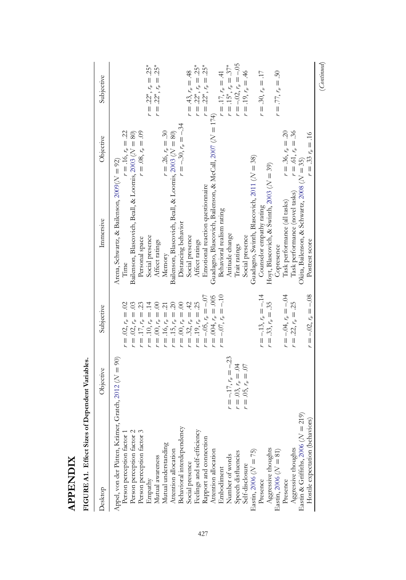| Desktop                                                                                      | Objective                   | Subjective                                                         | Immersive                                                     | Objective                 | Subjective                               |
|----------------------------------------------------------------------------------------------|-----------------------------|--------------------------------------------------------------------|---------------------------------------------------------------|---------------------------|------------------------------------------|
| Appel, von der Pütten, Krämer,                                                               | Gratch, $2012$ ( $N = 90$ ) |                                                                    | Arena, Schwartz, & Bailenson, 2009(N = 92)                    |                           |                                          |
| Person perception factor 2<br>Person perception factor 1                                     |                             | $= .02, r_w = .02$<br>$.02, r_w = .03$<br>$\overline{\mathsf{II}}$ | Bailenson, Blascovich, Beall, & Loomis, 2003 (N = 80)<br>Time | $r = .16, r_w = .22$      |                                          |
| Person perception factor 3                                                                   |                             | $17, r_v = .23$<br>$\parallel$                                     | Personal space                                                | $r = .08, r_w = .09$      |                                          |
|                                                                                              |                             | $=$ .10, $r_w = .14$                                               | Social presence                                               |                           | $r = .22^*, r_w = .25^*$                 |
| Empathy<br>Mutual awareness<br>Mutual understanding                                          |                             | $.00, r_w = .00$<br>$\overline{\mathbf{I}}$                        | Affect ratings                                                |                           | $r = .22^*, r_v = .25^*$                 |
|                                                                                              |                             | $.16, r_v = .21$<br>$\overline{\mathsf{I}}$                        | Memory                                                        | $r = 0.26$ , $r_w = 0.30$ |                                          |
| Attention allocation<br>Behavioral interdependency                                           |                             | $.15, r_v = .20$<br>$\mathbf{II}$                                  | Bailenson, Blascovich, Beall, & Loomis, 2003 ( $N = 80$ )     |                           |                                          |
|                                                                                              |                             | $.00, r_v = .00$<br>$\overline{\mathbf{H}}$                        | Distancing behavior                                           | $r = -30, rn = -34$       |                                          |
| Social presence                                                                              |                             | $.32, r_w = .42$<br>$\parallel$                                    | Social presence                                               |                           | $r = .43, rw = .48$                      |
|                                                                                              |                             | $.19, r_w = .25$<br>$\overline{\mathbf{I}}$                        | Affect ratings                                                |                           | $r = .22^*, r_w = .25^*$                 |
|                                                                                              |                             | $= -0.05, rw = -0.07$                                              | Emotional reaction questionnaire                              |                           | $r = .22^*, r_w = .25^*$                 |
| Feelings and self-efficiency<br>Rapport and connection<br>Attention allocation<br>Embodiment |                             | $= .004, rn = .005$                                                | Guadagno, Blascovich, Bailenson, & McCall, 2007 (N = 174)     |                           |                                          |
|                                                                                              |                             | $=-.07, rw = -.10$                                                 | Behavioral realism rating                                     |                           | $r = .17, r_w = .41$                     |
|                                                                                              | $r = -17, rw = -23$         |                                                                    | Attitude change                                               |                           | $.15^*$ , $r_w = .37^*$<br>$\frac{1}{r}$ |
| Number of words<br>Speech disfluencies<br>Self-disclosure                                    | $r = .03, rv = .04$         |                                                                    | Trait ratings                                                 |                           | $= -0.02$ , $r_w = -0.05$                |
|                                                                                              | $r = .05, rw = .07$         |                                                                    | Social presence                                               |                           | $.19, r_w = .46$<br>$\frac{1}{2}$        |
| Eastin, 2006 ( $N = 75$ )                                                                    |                             |                                                                    | Guadagno, Swinth, Blascovich, 2011 (N = 38)                   |                           |                                          |
| Presence                                                                                     |                             | $r = -13$ , $r_w = -14$                                            | Counselor empathy rating                                      |                           | $r = .30, r_v = .17$                     |
| Aggressive thoughts<br>Eastin, 2006 ( $N = 81$ )                                             |                             | $r = .33, r_w = .35$                                               | Hoyt, Blascovich, & Swinth, $2003$ ( $N = 39$ )               |                           |                                          |
|                                                                                              |                             |                                                                    | Copresence                                                    |                           | $r = .77, rw = .50$                      |
|                                                                                              |                             | $r = -04, r_v = -04$                                               | Task performance (all tasks)                                  | $r = .36, rw = .20$       |                                          |
| Presence<br>Aggressive thoughts                                                              |                             | $r = .22, rv = .25$                                                | Task performance (novel tasks)                                | $r = .61, r_w = .36$      |                                          |
| Eastin & Griffiths, 2006 ( $N = 219$ )                                                       |                             |                                                                    | Okita, Bailenson, & Schwartz, 2008 (N = 35)                   |                           |                                          |
| Hostile expectation (behaviors                                                               |                             | $r = -02, rw = -08$                                                | Posttest score                                                | $r = .33 rw = .16$        |                                          |
|                                                                                              |                             |                                                                    |                                                               |                           | (Continued)                              |

FIGURE A1. Effect Sizes of Dependent Variables. **FIGURE A1. Effect Sizes of Dependent Variables.**

**APPENDIX**

**APPENDIX**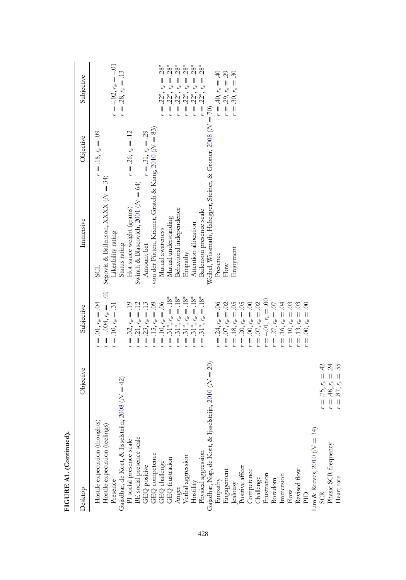| FIGURE A1. (Continued).                                                                                                              |                                                                        |                                                                                              |                                                                                                                  |                                              |                                                                        |
|--------------------------------------------------------------------------------------------------------------------------------------|------------------------------------------------------------------------|----------------------------------------------------------------------------------------------|------------------------------------------------------------------------------------------------------------------|----------------------------------------------|------------------------------------------------------------------------|
| Desktop                                                                                                                              | Objective                                                              | Subjective                                                                                   | Immersive                                                                                                        | Objective                                    | Subjective                                                             |
| Gajadhar, de Kort, & Ijsselsteijn, 2008 ( $N = 42$ )<br>Hostile expectation (thoughts)<br>Hostile expectation (feelings)<br>Presence |                                                                        | $r = -.004$ , $r_w = -.01$<br>$r = .01, r_w = .04$<br>$r = .10, r_v = .31$                   | Segovia & Bailenson, XXXX ( $N = 34$ )<br>Likeability rating<br>Status rating<br>5<br>S                          | $= .18, rw = .09$                            | $r = -0.02$ , $r_w = -0.01$<br>$r = .28, rw = .13$                     |
| BE social presence scale<br>PI social presence scale<br>GEQ positive                                                                 |                                                                        | $= .32, rw = .19$<br>$r = .21, r_w = .12$<br>$r = .23, r_w = .13$<br>$r = .15, r_w = .09$    | Swinth & Blascovich, 2001 ( $N = 64$ )<br>Hot sauce weight (grams)<br>Amount bet                                 | $r = .31, r_w = .29$<br>$r = .26, r_v = .12$ |                                                                        |
| GEQ competence<br>GEQ challenge<br>GEQ frustration                                                                                   |                                                                        | $r = .10, r_w = .06$                                                                         | von der Pütten, Krämer, Gratch & Kang, 2010 (N = 83)<br>Mutual understanding<br>Mutual awareness                 |                                              | $r = .22^*$ , $r_w = .28^*$<br>$r = 22^*, r_v = 28^*$                  |
| Verbal aggression<br>Anger                                                                                                           |                                                                        | $r = .31^*$ , $r_w = .18^*$<br>$r = .31^*$ , $r_w = .18^*$<br>$r = .31^*$ , $r_w = .18^*$    | Behavioral independence<br>Empathy                                                                               |                                              | $.22^*$ , $r_w = .28^*$<br>$r = .22^*$ , $r_w = .28^*$<br>$\mathbf{r}$ |
| Gajadhar, Nap, de Kort, & Ijsselsteijn, 2010 (N = 20)<br>Physical aggression<br>$H_{\rm Ostility}$                                   |                                                                        | $= .31^*, r_w = .18^*$<br>$= .31^*$ , $r_w = .18^*$                                          | Weibel, Wissmath, Habegger, Steiner, & Groner, 2008 (N = 70)<br>Bailenson presence scale<br>Attention allocation |                                              | $r = .22^*, r_w = .28^*$<br>$r = 22^*$ , $r_w = 28^*$                  |
| Engagement<br>Empathy                                                                                                                |                                                                        | $r = .24, r_w = .06$<br>$= .07, rw = .02$                                                    | Presence<br>Flow                                                                                                 |                                              | $r = .40, r_w = .40$<br>$r = .29, r_w = .29$                           |
| Positive affect<br>Jealousy                                                                                                          |                                                                        | $= .18, rw = .05$<br>$= .20, rw = .05$                                                       | Enjoyment                                                                                                        |                                              | $r = .30, r_w = .30$                                                   |
| Competence<br>Frustration<br>Challenge                                                                                               |                                                                        | $=-.01, rw=.00$<br>$= .07, rw = .02$<br>$= .00, r_w = .00$                                   |                                                                                                                  |                                              |                                                                        |
| Revised flow<br>Immersion<br>Boredom<br>Flow                                                                                         |                                                                        | $r = .27, r_w = .07$<br>$r = .16, r_w = .04$<br>$r = .10, r_w = .03$<br>$r = .13, r_w = .03$ |                                                                                                                  |                                              |                                                                        |
| Lim & Reeves, 2010 ( $N = 34$ )<br>Phasic SCR frequency<br>Heart rate<br><b>SCR</b><br><b>PID</b>                                    | $r = .75, rw = .42$<br>$r = .48, rv = .24$<br>55<br>$r = .87, r_{w} =$ | $.00, r_w = .00$<br>$\mathsf{II}$                                                            |                                                                                                                  |                                              |                                                                        |
|                                                                                                                                      |                                                                        |                                                                                              |                                                                                                                  |                                              |                                                                        |

| ٦ |
|---|
| ļ |
|   |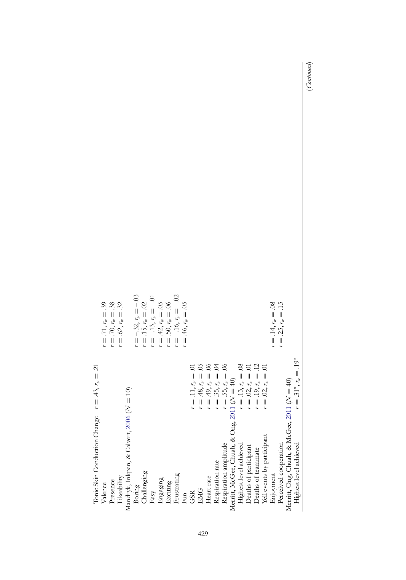| $r = -32$ , $r_w = -03$<br>$r = -16$ , $r_w = -0.02$<br>$r = -13$ , $r_w = -01$<br>$r = .42, rv = .05$<br>$r = .46$ , $r_w = .05$<br>$r = .15, r_w = .02$<br>$r = .71, r_w = .39$<br>$r = .70, rw = .38$<br>$r = .50, rw = .06$<br>$r = .62, r_w = .32$                                                                                                                                                   | $r = .14, rw = .08$<br>$r = .25, rw = .15$                                 |
|-----------------------------------------------------------------------------------------------------------------------------------------------------------------------------------------------------------------------------------------------------------------------------------------------------------------------------------------------------------------------------------------------------------|----------------------------------------------------------------------------|
| $r = .48, r_w = .05$<br>$r = .55, r_w = .06$<br>$r = .13, r_w = .08$<br>Tonic Skin Conduction Change $r = .43$ , $r_w = .21$<br>$r = .49, r_w = .06$<br>$r = .35, r_w = .04$<br>$r = .02, r_w = .01$<br>$r = .19, r_w = .12$<br>$r = .11, rv = .01$<br>$r = .02, r_w = .01$<br>Merritt, McGee, Chuah, & Ong, 2011 ( $N = 40$ )<br>Mandryk, Inkpen, & Calvert, 2006 (N = 10)<br>Yell events by participant | $r = .31^*$ , $r_w = .19^*$<br>Merritt, Ong, Chuah, & McGee, 2011 (N = 40) |
| Respiration amplitude<br>Highest level achieved<br>Deaths of participant<br>Deaths of teammate<br>Respiration rate<br>Challenging<br>Frustrating<br>Heart rate<br>Likeability<br>Engaging<br>Presence<br>Exciting<br>Valence<br>Boring<br>EMG<br>Easy<br>GSR<br>Fun                                                                                                                                       | Perceived cooperation<br>Highest level achieved<br>Enjoyment               |

(*Continued*)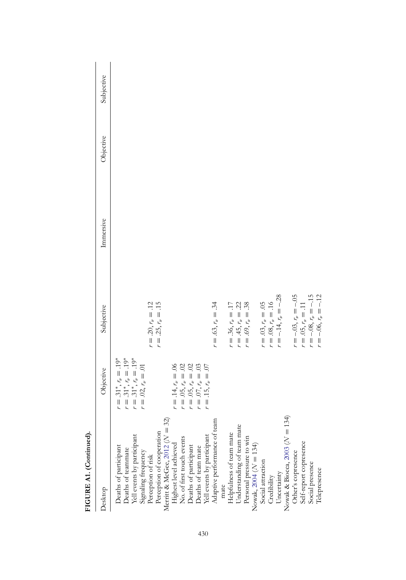| Desktop                                                                                                                                                                                                                                                                                                                                                                | Objective                                                                                                                                                                                                                                                 | Subjective                                                                                                                                                                                                                                              | Immersive | Objective | Subjective |
|------------------------------------------------------------------------------------------------------------------------------------------------------------------------------------------------------------------------------------------------------------------------------------------------------------------------------------------------------------------------|-----------------------------------------------------------------------------------------------------------------------------------------------------------------------------------------------------------------------------------------------------------|---------------------------------------------------------------------------------------------------------------------------------------------------------------------------------------------------------------------------------------------------------|-----------|-----------|------------|
| Yell events by participant<br>Signaling frequency<br>Perception of risk<br>Perception of cooperation<br>Nerritt & McGee, $2012$ $(N = 32)$<br>Yell events by participant<br>Adaptive performance of team<br>Highest level achieved<br>No. of first touch events<br>Deaths of participant<br>Deaths of team mate<br>Deaths of participant<br>Deaths of teammate<br>mate | $r = .31^*, r_w = .19^*$<br>$r = .31^*, r_w = .19^*$<br>$r = .31^*, r_w = .19^*$<br>$r = .02, r_w = .01$<br>$r = .14$ , $r_v = .06$<br>$r = .05$ , $r_v = .02$<br>$r = .05$ , $r_v = .02$<br>$r = .02$<br>$r = .07$ , $r_v = .03$<br>$r = .15, r_w = .07$ | $r = .63, rw = .34$<br>$r = .20, r_w = .12$<br>$r = .25, r_w = .15$                                                                                                                                                                                     |           |           |            |
| Social attraction<br>Credibility<br>Uncertainty<br>Nowak & Biocca, 2003 ( $N = 134$ )<br>Understanding of team mate<br>Helpfulness of team mate<br>Personal pressure to win<br>Nowak, 2004 ( $N = 134$ )<br>Other's copresence<br>Self-report copresence<br>Social presence<br>Telepresence                                                                            |                                                                                                                                                                                                                                                           | $r = -.03, r_w = -.05$<br>$r = .08, r_w = .16$<br>$r = -.14, r_w = -.28$<br>$r = .05, r_w = .11$<br>$r = -.08, r_w = -.15$<br>$r = -0.06$ , $r_w = -12$<br>$r = .36, r_w = .17$<br>$r = .45, r_w = .22$<br>$r = .69, r_w = .38$<br>$r = .03, r_w = .05$ |           |           |            |

FIGURE A1. (Continued). **FIGURE A1. (Continued).**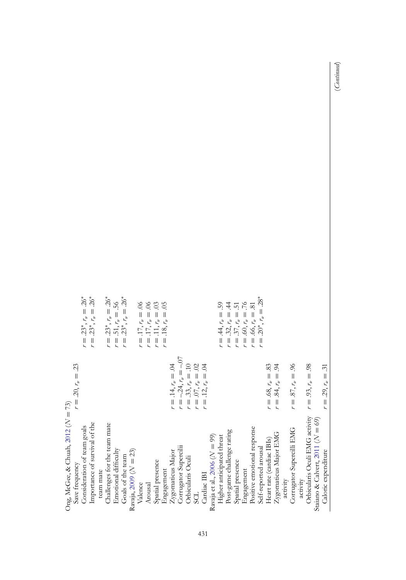(*Continued*)

| $r = .23^*$ , $r_w = .26^*$<br>$r = .23^*$ , $r_w = .26^*$                                                                 | $r = .23^*$ , $r_w = .26^*$<br>$r = .51$ , $r_w = .56$<br>$= .23^*$ , $r_w = .26^*$<br>ï, | $r = .17, r_v = .06$<br>$r = .17, r_w = .06$<br>$r = .11, r_w = .03$<br>$r = .18, r_v = .05$ | $\dot{4}$<br>59<br>$r = .44, rw =$<br>$= .32, r_w =$                                                                                                                                        | $r_w = .28^*$<br>$r = .60, r_w = .76$<br>$r = .66, r_v = .81$<br>$= .37, r_w = .51$<br>$r = 0.20$ *.                                         |                                                                                                                                                    |
|----------------------------------------------------------------------------------------------------------------------------|-------------------------------------------------------------------------------------------|----------------------------------------------------------------------------------------------|---------------------------------------------------------------------------------------------------------------------------------------------------------------------------------------------|----------------------------------------------------------------------------------------------------------------------------------------------|----------------------------------------------------------------------------------------------------------------------------------------------------|
| $r = .20, r_v = .23$                                                                                                       |                                                                                           |                                                                                              | $r = -.24, r_w = -.07$<br>$= .33, r_w = .10$<br>$r = .14, r_v = .04$<br>$r = .07, r_w = .02$<br>$r = .12, r_w = .04$<br>$\sim$                                                              | $r = .68, r_w = .83$<br>5.<br>$r = .84, r_v =$                                                                                               | $r = .87, rw = .96$<br>$r = .93, r_w = .98$<br>$r = .29, rw = .31$                                                                                 |
| Ong, McGee, & Chuah, $2012$ ( $N = 73$ )<br>Importance of survival of the<br>Consideration of team goals<br>Save frequency | Challenges for the team mate<br>Emotional difficulty<br>Goals of the team<br>team mate    | Ravaja, 2009 ( $N = 23$ )<br>Spatial presence<br>Engagement<br>Arousal<br>Valence            | Post-game challenge rating<br>Ravaja et al., 2006 ( $N = 99$ )<br>Higher anticipated threat<br>Corrugator Supercilii<br>Zygomaticus Major<br>Orbicularis Oculi<br>Cardiac IBI<br><b>LOS</b> | Positive emotional response<br>Zygomaticus Major EMG<br>Heart rate (cardiac IBIs)<br>Self-reported arousal<br>Spatial presence<br>Engagement | Orbicularis Oculi EMG activity<br>Staiano & Calvert, 2011 ( $N = 69$ )<br>Corrugator Supercilli EMG<br>Caloric expenditure<br>activity<br>activity |